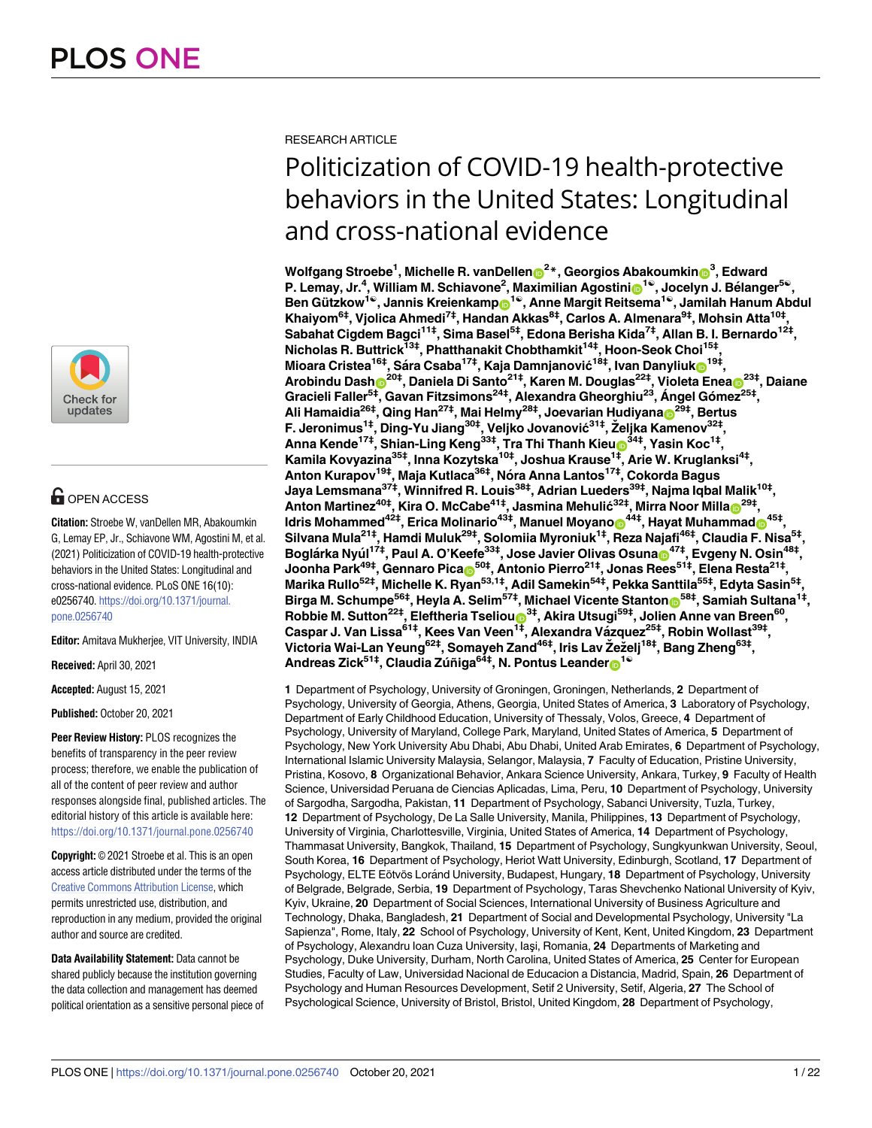

# **G** OPEN ACCESS

**Citation:** Stroebe W, vanDellen MR, Abakoumkin G, Lemay EP, Jr., Schiavone WM, Agostini M, et al. (2021) Politicization of COVID-19 health-protective behaviors in the United States: Longitudinal and cross-national evidence. PLoS ONE 16(10): e0256740. [https://doi.org/10.1371/journal.](https://doi.org/10.1371/journal.pone.0256740) [pone.0256740](https://doi.org/10.1371/journal.pone.0256740)

**Editor:** Amitava Mukherjee, VIT University, INDIA

**Received:** April 30, 2021

**Accepted:** August 15, 2021

**Published:** October 20, 2021

**Peer Review History:** PLOS recognizes the benefits of transparency in the peer review process; therefore, we enable the publication of all of the content of peer review and author responses alongside final, published articles. The editorial history of this article is available here: <https://doi.org/10.1371/journal.pone.0256740>

**Copyright:** © 2021 Stroebe et al. This is an open access article distributed under the terms of the Creative Commons [Attribution](http://creativecommons.org/licenses/by/4.0/) License, which permits unrestricted use, distribution, and reproduction in any medium, provided the original author and source are credited.

**Data Availability Statement:** Data cannot be shared publicly because the institution governing the data collection and management has deemed political orientation as a sensitive personal piece of RESEARCH ARTICLE

# Politicization of COVID-19 health-protective behaviors in the United States: Longitudinal and cross-national evidence

 $\blacksquare$ **Wolfgang Stroebe** $^1$ **, Michelle R. vanDellen** $\blacksquare^2$ **\*, Georgios Abakoumkin** $\blacksquare^3$ **, Edward P. Lemay, Jr.4 , William M. Schiavone2 , Maximilian Agostin[iID](https://orcid.org/0000-0001-6435-7621)1**☯**, Jocelyn J. Be´langer5**☯**, Ben Gu¨tzkow1**☯**, Jannis Kreienkam[pID](https://orcid.org/0000-0002-1831-5604)1**☯**, Anne Margit Reitsema1**☯**, Jamilah Hanum Abdul Khaiyom6‡, Vjolica Ahmedi7‡, Handan Akkas8‡, Carlos A. Almenara9‡, Mohsin Atta10‡, Sabahat Cigdem Bagci11‡, Sima Basel5‡, Edona Berisha Kida7‡, Allan B. I. Bernardo12‡, Nicholas R. Buttrick13‡, Phatthanakit Chobthamkit14‡, Hoon-Seok Choi15‡,**  $M$ ioara Cristea $^{16\ddagger},$  Sára Csaba $^{17\ddagger},$  Kaja Damnjanović $^{18\ddagger},$  Ivan Danyliuk $_\odot$ 19‡,  $\Lambda$ robindu  $\sf{Dash}_\mathbf{D}^{\sf{20}\ddagger},\sf{Daniela}\; \sf{Di}\; \sf{Santo}^{\sf{21}\ddagger},\sf{Karen}\; \sf{M}.\; \sf{Douglas}^{\sf{22}\ddagger},\sf{Violeta}\; \sf{Enea}_\mathbf{D}^{\sf{23}\ddagger},\sf{Daiane}$ **Gracieli Faller5‡, Gavan Fitzsimons24‡, Alexandra Gheorghiu23, A´ ngel Go´mez25‡,**  $\mathsf{Alli}$  Hamaidia $^{26\ddagger}, \mathsf{Qing}$  Han $^{27\ddagger}, \mathsf{Mai}$  Helmy $^{28\ddagger},$  Joevarian Hudiyana $\mathsf{D}^{29\ddagger}, \mathsf{Bertus}$ **F. Jeronimus1‡, Ding-Yu Jiang30‡, Veljko Jovanović31‡, Zˇeljka Kamenov32‡, Anna Kende17‡, Shian-Ling Keng33‡, Tra Thi Thanh Kieu[ID3](https://orcid.org/0000-0001-6269-7796)4‡, Yasin Koc1‡, Kamila Kovyazina35‡, Inna Kozytska10‡, Joshua Krause1‡, Arie W. Kruglanksi4‡, Anton Kurapov19‡, Maja Kutlaca36‡, No´ra Anna Lantos17‡, Cokorda Bagus Jaya Lemsmana37‡, Winnifred R. Louis38‡, Adrian Lueders39‡, Najma Iqbal Malik10‡,**  $\blacksquare$ **Anton Martinez** $^{40\ddagger}$ **, Kira O. McCabe** $^{41\ddagger}$ **, Jasmina Mehulić** $^{32\ddagger}$ **, Mirra Noor Milla** $\blacksquare^{29\ddagger}$ **,**  ${\bf M}$ dris <code>Mohammed $^{\text{42}\ddagger},$  Erica Molinario $^{\text{43}\ddagger},$  <code>Manuel</code> <code>Moyano $\text{C}^{\text{44}\ddagger},$  <code>Hayat</code> <code>Muhammad $\text{C}^{\text{45}\ddagger},$ </code></code></code> **Silvana Mula21‡, Hamdi Muluk29‡, Solomiia Myroniuk1‡, Reza Najafi46‡, Claudia F. Nisa5‡, Bogla´rka Nyu´l 17‡, Paul A. O'Keefe33‡, Jose Javier Olivas Osun[aID](https://orcid.org/0000-0002-9877-8480)47‡, Evgeny N. Osin48‡, Joonha Park49‡, Gennaro Pica[ID5](https://orcid.org/0000-0003-3739-7462)0‡, Antonio Pierro21‡, Jonas Rees51‡, Elena Resta21‡, Marika Rullo52‡, Michelle K. Ryan53,1‡, Adil Samekin54‡, Pekka Santtila55‡, Edyta Sasin5‡,**  $\bf{B}$ irga M. Schumpe $^{56\ddagger}$ , Heyla A. Selim $^{57\ddagger}$ , Michael Vicente Stanton $\bf{0}^{58\ddagger}$ , Samiah Sultana $^{1\ddagger}$ ,  $R$ obbie M. Sutton<sup>22‡</sup>, Eleftheria Tseliou $\bullet$ <sup>3‡</sup>, Akira Utsugi<sup>59‡</sup>, Jolien Anne van Breen<sup>60</sup>, **Caspar J. Van Lissa61‡, Kees Van Veen1‡, Alexandra Va´zquez25‡, Robin Wollast39‡, Victoria Wai-Lan Yeung62‡, Somayeh Zand46‡, Iris Lav Zˇ ezˇelj18‡, Bang Zheng63‡,**  $Andreas Zick<sup>51‡</sup>, Claudia Zúñiga<sup>64‡</sup>, N. Pontus Leander<sup>1®</sup>$ 

**1** Department of Psychology, University of Groningen, Groningen, Netherlands, **2** Department of Psychology, University of Georgia, Athens, Georgia, United States of America, **3** Laboratory of Psychology, Department of Early Childhood Education, University of Thessaly, Volos, Greece, **4** Department of Psychology, University of Maryland, College Park, Maryland, United States of America, **5** Department of Psychology, New York University Abu Dhabi, Abu Dhabi, United Arab Emirates, **6** Department of Psychology, International Islamic University Malaysia, Selangor, Malaysia, **7** Faculty of Education, Pristine University, Pristina, Kosovo, **8** Organizational Behavior, Ankara Science University, Ankara, Turkey, **9** Faculty of Health Science, Universidad Peruana de Ciencias Aplicadas, Lima, Peru, **10** Department of Psychology, University of Sargodha, Sargodha, Pakistan, **11** Department of Psychology, Sabanci University, Tuzla, Turkey, **12** Department of Psychology, De La Salle University, Manila, Philippines, **13** Department of Psychology, University of Virginia, Charlottesville, Virginia, United States of America, **14** Department of Psychology, Thammasat University, Bangkok, Thailand, **15** Department of Psychology, Sungkyunkwan University, Seoul, South Korea, **16** Department of Psychology, Heriot Watt University, Edinburgh, Scotland, **17** Department of Psychology, ELTE Eötvös Loránd University, Budapest, Hungary, 18 Department of Psychology, University of Belgrade, Belgrade, Serbia, **19** Department of Psychology, Taras Shevchenko National University of Kyiv, Kyiv, Ukraine, **20** Department of Social Sciences, International University of Business Agriculture and Technology, Dhaka, Bangladesh, **21** Department of Social and Developmental Psychology, University "La Sapienza", Rome, Italy, **22** School of Psychology, University of Kent, Kent, United Kingdom, **23** Department of Psychology, Alexandru Ioan Cuza University, Iaşi, Romania, **24** Departments of Marketing and Psychology, Duke University, Durham, North Carolina, United States of America, **25** Center for European Studies, Faculty of Law, Universidad Nacional de Educacion a Distancia, Madrid, Spain, **26** Department of Psychology and Human Resources Development, Setif 2 University, Setif, Algeria, **27** The School of Psychological Science, University of Bristol, Bristol, United Kingdom, **28** Department of Psychology,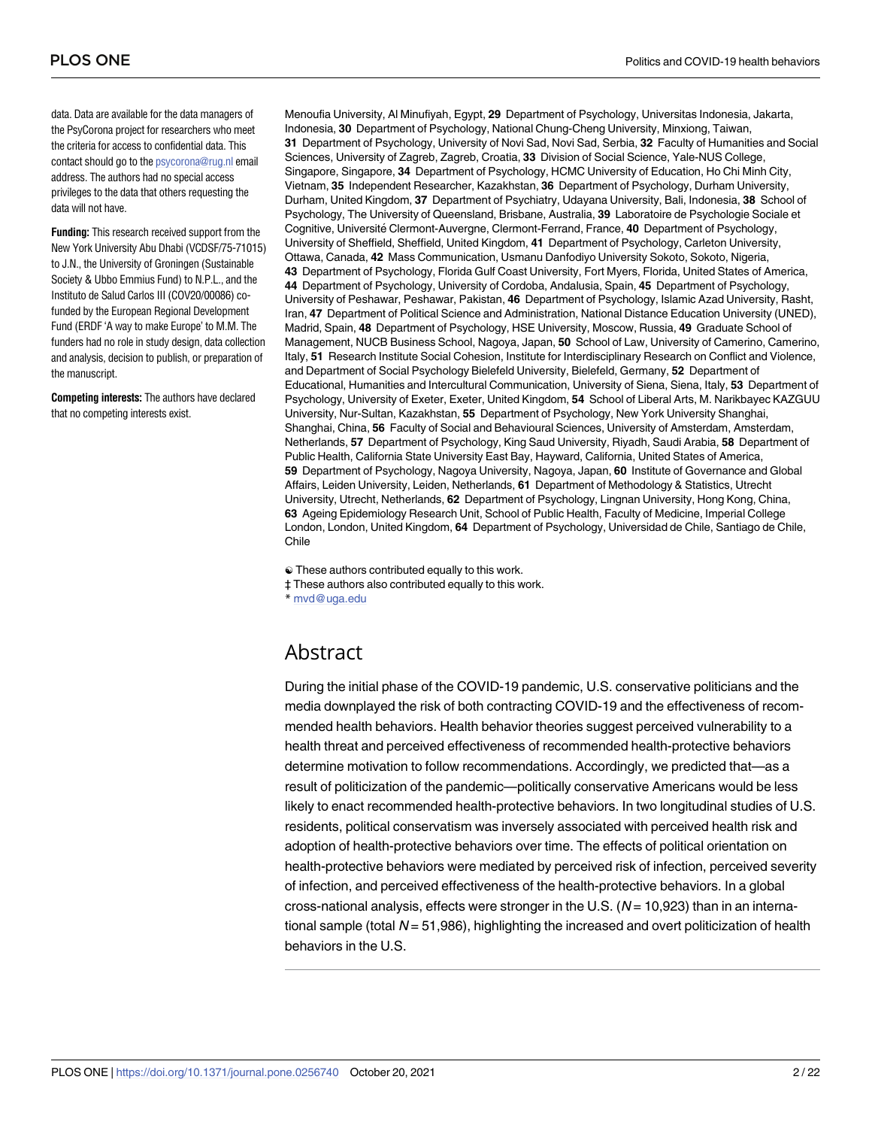data. Data are available for the data managers of the PsyCorona project for researchers who meet the criteria for access to confidential data. This contact should go to the [psycorona@rug.nl](mailto:psycorona@rug.nl) email address. The authors had no special access privileges to the data that others requesting the data will not have.

**Funding:** This research received support from the New York University Abu Dhabi (VCDSF/75-71015) to J.N., the University of Groningen (Sustainable Society & Ubbo Emmius Fund) to N.P.L., and the Instituto de Salud Carlos III (COV20/00086) cofunded by the European Regional Development Fund (ERDF 'A way to make Europe' to M.M. The funders had no role in study design, data collection and analysis, decision to publish, or preparation of the manuscript.

**Competing interests:** The authors have declared that no competing interests exist.

Menoufia University, Al Minufiyah, Egypt, **29** Department of Psychology, Universitas Indonesia, Jakarta, Indonesia, **30** Department of Psychology, National Chung-Cheng University, Minxiong, Taiwan, **31** Department of Psychology, University of Novi Sad, Novi Sad, Serbia, **32** Faculty of Humanities and Social Sciences, University of Zagreb, Zagreb, Croatia, **33** Division of Social Science, Yale-NUS College, Singapore, Singapore, **34** Department of Psychology, HCMC University of Education, Ho Chi Minh City, Vietnam, **35** Independent Researcher, Kazakhstan, **36** Department of Psychology, Durham University, Durham, United Kingdom, **37** Department of Psychiatry, Udayana University, Bali, Indonesia, **38** School of Psychology, The University of Queensland, Brisbane, Australia, **39** Laboratoire de Psychologie Sociale et Cognitive, Universite´ Clermont-Auvergne, Clermont-Ferrand, France, **40** Department of Psychology, University of Sheffield, Sheffield, United Kingdom, **41** Department of Psychology, Carleton University, Ottawa, Canada, **42** Mass Communication, Usmanu Danfodiyo University Sokoto, Sokoto, Nigeria, **43** Department of Psychology, Florida Gulf Coast University, Fort Myers, Florida, United States of America, **44** Department of Psychology, University of Cordoba, Andalusia, Spain, **45** Department of Psychology, University of Peshawar, Peshawar, Pakistan, **46** Department of Psychology, Islamic Azad University, Rasht, Iran, **47** Department of Political Science and Administration, National Distance Education University (UNED), Madrid, Spain, **48** Department of Psychology, HSE University, Moscow, Russia, **49** Graduate School of Management, NUCB Business School, Nagoya, Japan, **50** School of Law, University of Camerino, Camerino, Italy, **51** Research Institute Social Cohesion, Institute for Interdisciplinary Research on Conflict and Violence, and Department of Social Psychology Bielefeld University, Bielefeld, Germany, **52** Department of Educational, Humanities and Intercultural Communication, University of Siena, Siena, Italy, **53** Department of Psychology, University of Exeter, Exeter, United Kingdom, **54** School of Liberal Arts, M. Narikbayec KAZGUU University, Nur-Sultan, Kazakhstan, **55** Department of Psychology, New York University Shanghai, Shanghai, China, **56** Faculty of Social and Behavioural Sciences, University of Amsterdam, Amsterdam, Netherlands, **57** Department of Psychology, King Saud University, Riyadh, Saudi Arabia, **58** Department of Public Health, California State University East Bay, Hayward, California, United States of America, **59** Department of Psychology, Nagoya University, Nagoya, Japan, **60** Institute of Governance and Global Affairs, Leiden University, Leiden, Netherlands, **61** Department of Methodology & Statistics, Utrecht University, Utrecht, Netherlands, **62** Department of Psychology, Lingnan University, Hong Kong, China, **63** Ageing Epidemiology Research Unit, School of Public Health, Faculty of Medicine, Imperial College London, London, United Kingdom, **64** Department of Psychology, Universidad de Chile, Santiago de Chile, Chile

☯ These authors contributed equally to this work. ‡ These authors also contributed equally to this work. \* mvd@uga.edu

## Abstract

During the initial phase of the COVID-19 pandemic, U.S. conservative politicians and the media downplayed the risk of both contracting COVID-19 and the effectiveness of recommended health behaviors. Health behavior theories suggest perceived vulnerability to a health threat and perceived effectiveness of recommended health-protective behaviors determine motivation to follow recommendations. Accordingly, we predicted that—as a result of politicization of the pandemic—politically conservative Americans would be less likely to enact recommended health-protective behaviors. In two longitudinal studies of U.S. residents, political conservatism was inversely associated with perceived health risk and adoption of health-protective behaviors over time. The effects of political orientation on health-protective behaviors were mediated by perceived risk of infection, perceived severity of infection, and perceived effectiveness of the health-protective behaviors. In a global cross-national analysis, effects were stronger in the U.S. ( $N = 10,923$ ) than in an international sample (total  $N = 51,986$ ), highlighting the increased and overt politicization of health behaviors in the U.S.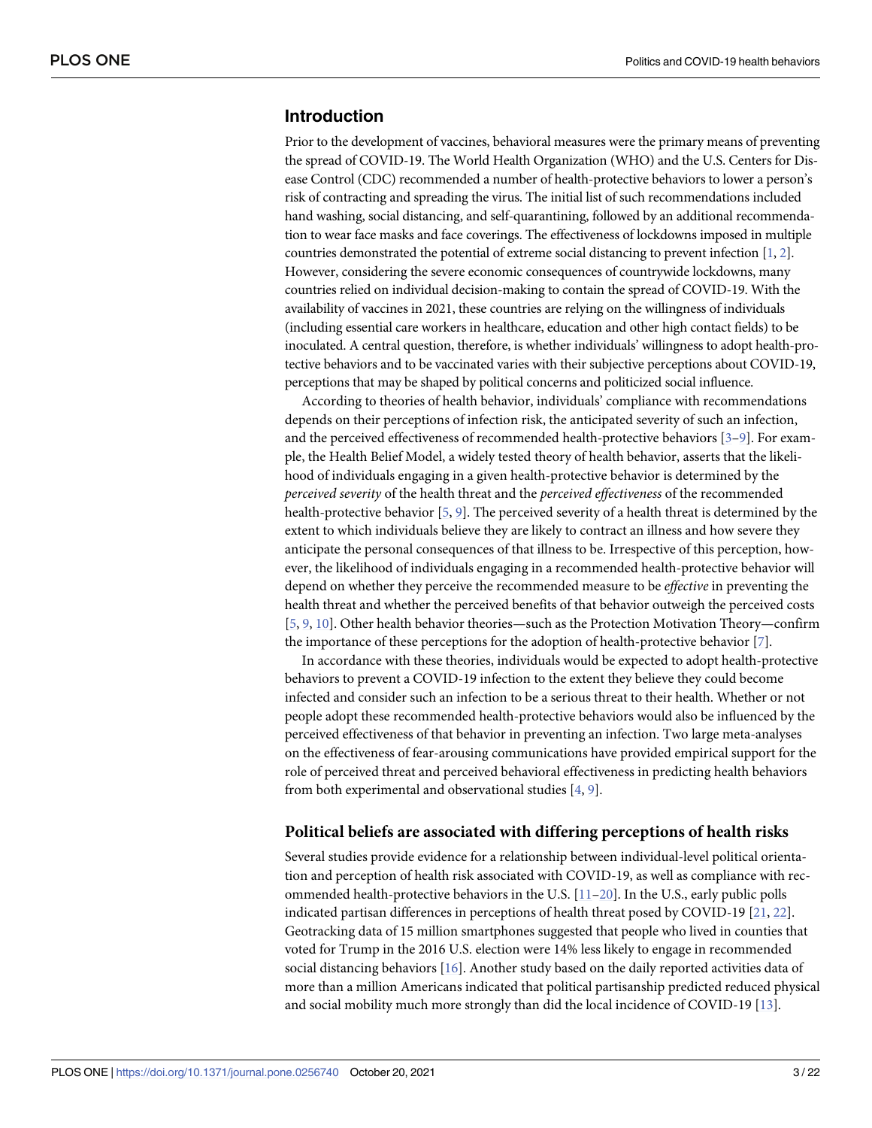## <span id="page-2-0"></span>**Introduction**

Prior to the development of vaccines, behavioral measures were the primary means of preventing the spread of COVID-19. The World Health Organization (WHO) and the U.S. Centers for Disease Control (CDC) recommended a number of health-protective behaviors to lower a person's risk of contracting and spreading the virus. The initial list of such recommendations included hand washing, social distancing, and self-quarantining, followed by an additional recommendation to wear face masks and face coverings. The effectiveness of lockdowns imposed in multiple countries demonstrated the potential of extreme social distancing to prevent infection [[1](#page-19-0), [2](#page-19-0)]. However, considering the severe economic consequences of countrywide lockdowns, many countries relied on individual decision-making to contain the spread of COVID-19. With the availability of vaccines in 2021, these countries are relying on the willingness of individuals (including essential care workers in healthcare, education and other high contact fields) to be inoculated. A central question, therefore, is whether individuals' willingness to adopt health-protective behaviors and to be vaccinated varies with their subjective perceptions about COVID-19, perceptions that may be shaped by political concerns and politicized social influence.

According to theories of health behavior, individuals' compliance with recommendations depends on their perceptions of infection risk, the anticipated severity of such an infection, and the perceived effectiveness of recommended health-protective behaviors [\[3–9\]](#page-19-0). For example, the Health Belief Model, a widely tested theory of health behavior, asserts that the likelihood of individuals engaging in a given health-protective behavior is determined by the *perceived severity* of the health threat and the *perceived effectiveness* of the recommended health-protective behavior [[5](#page-19-0), [9\]](#page-19-0). The perceived severity of a health threat is determined by the extent to which individuals believe they are likely to contract an illness and how severe they anticipate the personal consequences of that illness to be. Irrespective of this perception, however, the likelihood of individuals engaging in a recommended health-protective behavior will depend on whether they perceive the recommended measure to be *effective* in preventing the health threat and whether the perceived benefits of that behavior outweigh the perceived costs [\[5](#page-19-0), [9](#page-19-0), [10](#page-19-0)]. Other health behavior theories—such as the Protection Motivation Theory—confirm the importance of these perceptions for the adoption of health-protective behavior [\[7\]](#page-19-0).

In accordance with these theories, individuals would be expected to adopt health-protective behaviors to prevent a COVID-19 infection to the extent they believe they could become infected and consider such an infection to be a serious threat to their health. Whether or not people adopt these recommended health-protective behaviors would also be influenced by the perceived effectiveness of that behavior in preventing an infection. Two large meta-analyses on the effectiveness of fear-arousing communications have provided empirical support for the role of perceived threat and perceived behavioral effectiveness in predicting health behaviors from both experimental and observational studies  $[4, 9]$  $[4, 9]$  $[4, 9]$  $[4, 9]$ .

#### **Political beliefs are associated with differing perceptions of health risks**

Several studies provide evidence for a relationship between individual-level political orientation and perception of health risk associated with COVID-19, as well as compliance with recommended health-protective behaviors in the U.S.  $[11-20]$  $[11-20]$ . In the U.S., early public polls indicated partisan differences in perceptions of health threat posed by COVID-19 [\[21,](#page-20-0) [22\]](#page-20-0). Geotracking data of 15 million smartphones suggested that people who lived in counties that voted for Trump in the 2016 U.S. election were 14% less likely to engage in recommended social distancing behaviors [\[16\]](#page-19-0). Another study based on the daily reported activities data of more than a million Americans indicated that political partisanship predicted reduced physical and social mobility much more strongly than did the local incidence of COVID-19 [[13](#page-19-0)].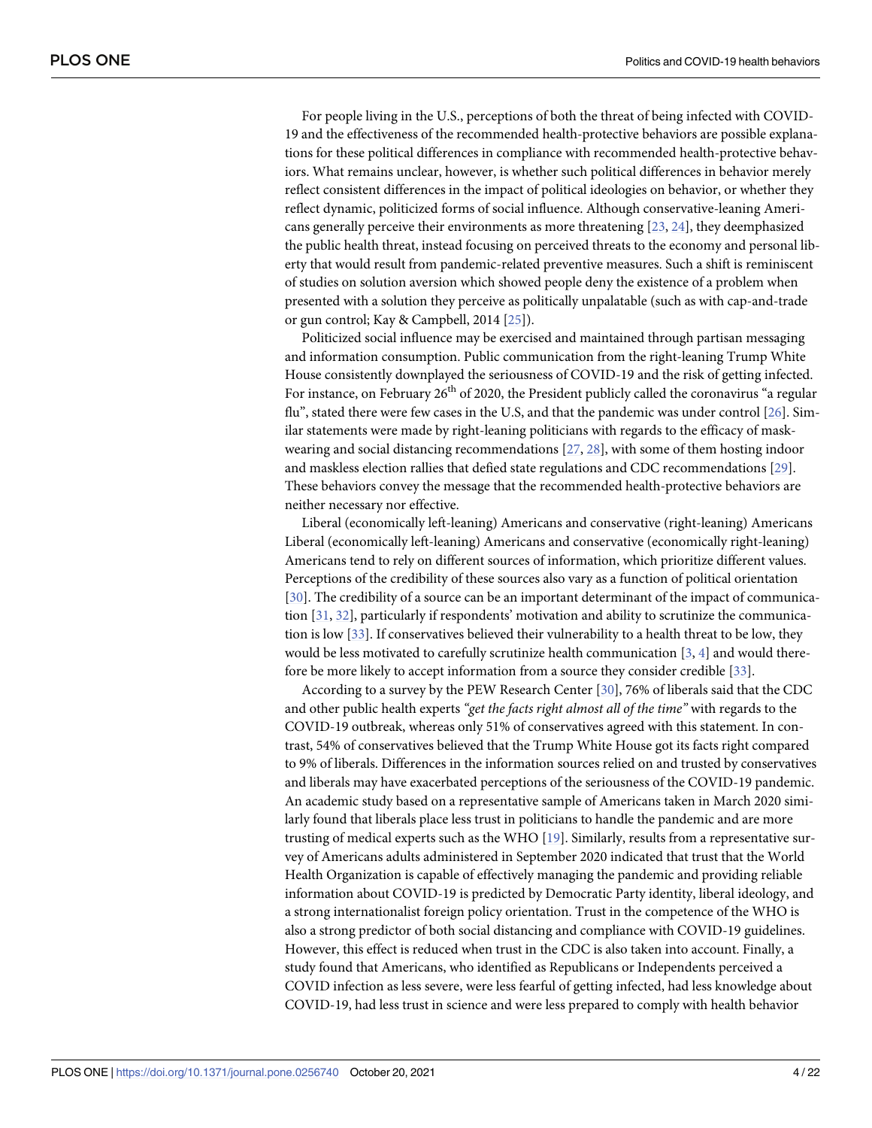<span id="page-3-0"></span>For people living in the U.S., perceptions of both the threat of being infected with COVID-19 and the effectiveness of the recommended health-protective behaviors are possible explanations for these political differences in compliance with recommended health-protective behaviors. What remains unclear, however, is whether such political differences in behavior merely reflect consistent differences in the impact of political ideologies on behavior, or whether they reflect dynamic, politicized forms of social influence. Although conservative-leaning Americans generally perceive their environments as more threatening [[23](#page-20-0), [24](#page-20-0)], they deemphasized the public health threat, instead focusing on perceived threats to the economy and personal liberty that would result from pandemic-related preventive measures. Such a shift is reminiscent of studies on solution aversion which showed people deny the existence of a problem when presented with a solution they perceive as politically unpalatable (such as with cap-and-trade or gun control; Kay & Campbell, 2014 [[25](#page-20-0)]).

Politicized social influence may be exercised and maintained through partisan messaging and information consumption. Public communication from the right-leaning Trump White House consistently downplayed the seriousness of COVID-19 and the risk of getting infected. For instance, on February 26<sup>th</sup> of 2020, the President publicly called the coronavirus "a regular flu", stated there were few cases in the U.S, and that the pandemic was under control [\[26\]](#page-20-0). Similar statements were made by right-leaning politicians with regards to the efficacy of maskwearing and social distancing recommendations [\[27,](#page-20-0) [28\]](#page-20-0), with some of them hosting indoor and maskless election rallies that defied state regulations and CDC recommendations [[29](#page-20-0)]. These behaviors convey the message that the recommended health-protective behaviors are neither necessary nor effective.

Liberal (economically left-leaning) Americans and conservative (right-leaning) Americans Liberal (economically left-leaning) Americans and conservative (economically right-leaning) Americans tend to rely on different sources of information, which prioritize different values. Perceptions of the credibility of these sources also vary as a function of political orientation [\[30\]](#page-20-0). The credibility of a source can be an important determinant of the impact of communication [[31](#page-20-0), [32](#page-20-0)], particularly if respondents' motivation and ability to scrutinize the communication is low [[33](#page-20-0)]. If conservatives believed their vulnerability to a health threat to be low, they would be less motivated to carefully scrutinize health communication [\[3](#page-19-0), [4](#page-19-0)] and would therefore be more likely to accept information from a source they consider credible [\[33\]](#page-20-0).

According to a survey by the PEW Research Center [[30](#page-20-0)], 76% of liberals said that the CDC and other public health experts *"get the facts right almost all of the time"* with regards to the COVID-19 outbreak, whereas only 51% of conservatives agreed with this statement. In contrast, 54% of conservatives believed that the Trump White House got its facts right compared to 9% of liberals. Differences in the information sources relied on and trusted by conservatives and liberals may have exacerbated perceptions of the seriousness of the COVID-19 pandemic. An academic study based on a representative sample of Americans taken in March 2020 similarly found that liberals place less trust in politicians to handle the pandemic and are more trusting of medical experts such as the WHO [\[19\]](#page-20-0). Similarly, results from a representative survey of Americans adults administered in September 2020 indicated that trust that the World Health Organization is capable of effectively managing the pandemic and providing reliable information about COVID-19 is predicted by Democratic Party identity, liberal ideology, and a strong internationalist foreign policy orientation. Trust in the competence of the WHO is also a strong predictor of both social distancing and compliance with COVID-19 guidelines. However, this effect is reduced when trust in the CDC is also taken into account. Finally, a study found that Americans, who identified as Republicans or Independents perceived a COVID infection as less severe, were less fearful of getting infected, had less knowledge about COVID-19, had less trust in science and were less prepared to comply with health behavior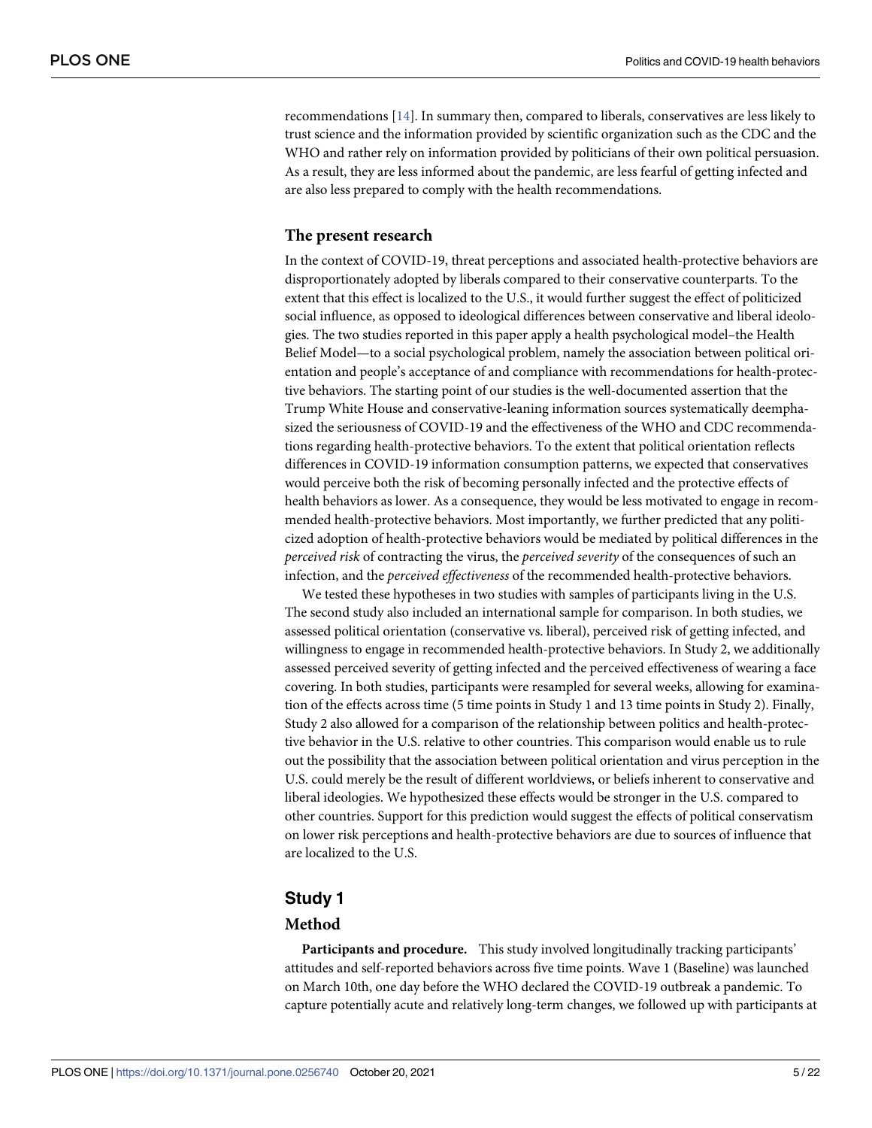<span id="page-4-0"></span>recommendations [\[14\]](#page-19-0). In summary then, compared to liberals, conservatives are less likely to trust science and the information provided by scientific organization such as the CDC and the WHO and rather rely on information provided by politicians of their own political persuasion. As a result, they are less informed about the pandemic, are less fearful of getting infected and are also less prepared to comply with the health recommendations.

## **The present research**

In the context of COVID-19, threat perceptions and associated health-protective behaviors are disproportionately adopted by liberals compared to their conservative counterparts. To the extent that this effect is localized to the U.S., it would further suggest the effect of politicized social influence, as opposed to ideological differences between conservative and liberal ideologies. The two studies reported in this paper apply a health psychological model–the Health Belief Model—to a social psychological problem, namely the association between political orientation and people's acceptance of and compliance with recommendations for health-protective behaviors. The starting point of our studies is the well-documented assertion that the Trump White House and conservative-leaning information sources systematically deemphasized the seriousness of COVID-19 and the effectiveness of the WHO and CDC recommendations regarding health-protective behaviors. To the extent that political orientation reflects differences in COVID-19 information consumption patterns, we expected that conservatives would perceive both the risk of becoming personally infected and the protective effects of health behaviors as lower. As a consequence, they would be less motivated to engage in recommended health-protective behaviors. Most importantly, we further predicted that any politicized adoption of health-protective behaviors would be mediated by political differences in the *perceived risk* of contracting the virus, the *perceived severity* of the consequences of such an infection, and the *perceived effectiveness* of the recommended health-protective behaviors.

We tested these hypotheses in two studies with samples of participants living in the U.S. The second study also included an international sample for comparison. In both studies, we assessed political orientation (conservative vs. liberal), perceived risk of getting infected, and willingness to engage in recommended health-protective behaviors. In Study 2, we additionally assessed perceived severity of getting infected and the perceived effectiveness of wearing a face covering. In both studies, participants were resampled for several weeks, allowing for examination of the effects across time (5 time points in Study 1 and 13 time points in Study 2). Finally, Study 2 also allowed for a comparison of the relationship between politics and health-protective behavior in the U.S. relative to other countries. This comparison would enable us to rule out the possibility that the association between political orientation and virus perception in the U.S. could merely be the result of different worldviews, or beliefs inherent to conservative and liberal ideologies. We hypothesized these effects would be stronger in the U.S. compared to other countries. Support for this prediction would suggest the effects of political conservatism on lower risk perceptions and health-protective behaviors are due to sources of influence that are localized to the U.S.

## **Study 1**

## **Method**

**Participants and procedure.** This study involved longitudinally tracking participants' attitudes and self-reported behaviors across five time points. Wave 1 (Baseline) was launched on March 10th, one day before the WHO declared the COVID-19 outbreak a pandemic. To capture potentially acute and relatively long-term changes, we followed up with participants at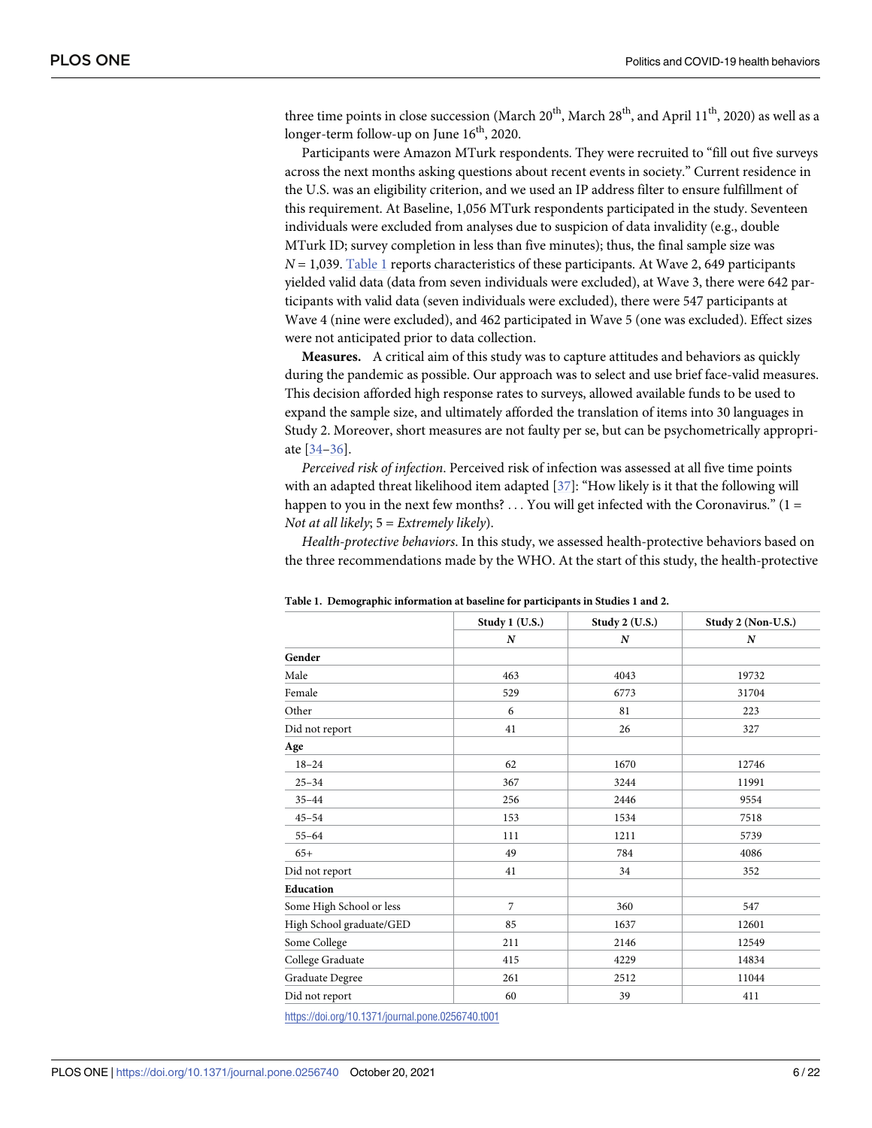<span id="page-5-0"></span>three time points in close succession (March  $20^{th}$ , March  $28^{th}$ , and April  $11^{th}$ , 2020) as well as a longer-term follow-up on June 16<sup>th</sup>, 2020.

Participants were Amazon MTurk respondents. They were recruited to "fill out five surveys across the next months asking questions about recent events in society." Current residence in the U.S. was an eligibility criterion, and we used an IP address filter to ensure fulfillment of this requirement. At Baseline, 1,056 MTurk respondents participated in the study. Seventeen individuals were excluded from analyses due to suspicion of data invalidity (e.g., double MTurk ID; survey completion in less than five minutes); thus, the final sample size was *N* = 1,039. Table 1 reports characteristics of these participants. At Wave 2, 649 participants yielded valid data (data from seven individuals were excluded), at Wave 3, there were 642 participants with valid data (seven individuals were excluded), there were 547 participants at Wave 4 (nine were excluded), and 462 participated in Wave 5 (one was excluded). Effect sizes were not anticipated prior to data collection.

**Measures.** A critical aim of this study was to capture attitudes and behaviors as quickly during the pandemic as possible. Our approach was to select and use brief face-valid measures. This decision afforded high response rates to surveys, allowed available funds to be used to expand the sample size, and ultimately afforded the translation of items into 30 languages in Study 2. Moreover, short measures are not faulty per se, but can be psychometrically appropriate [\[34–36](#page-20-0)].

*Perceived risk of infection*. Perceived risk of infection was assessed at all five time points with an adapted threat likelihood item adapted [\[37\]](#page-20-0): "How likely is it that the following will happen to you in the next few months?  $\dots$  You will get infected with the Coronavirus." (1 = *Not at all likely*; 5 = *Extremely likely*).

*Health-protective behaviors*. In this study, we assessed health-protective behaviors based on the three recommendations made by the WHO. At the start of this study, the health-protective

|                          | Study 1 (U.S.) | Study 2 (U.S.) | Study 2 (Non-U.S.) |
|--------------------------|----------------|----------------|--------------------|
|                          | N              | N              | $\boldsymbol{N}$   |
| Gender                   |                |                |                    |
| Male                     | 463            | 4043           | 19732              |
| Female                   | 529            | 6773           | 31704              |
| Other                    | 6              | 81             | 223                |
| Did not report           | 41             | 26             | 327                |
| Age                      |                |                |                    |
| $18 - 24$                | 62             | 1670           | 12746              |
| $25 - 34$                | 367            | 3244           | 11991              |
| $35 - 44$                | 256            | 2446           | 9554               |
| $45 - 54$                | 153            | 1534           | 7518               |
| $55 - 64$                | 111            | 1211           | 5739               |
| $65+$                    | 49             | 784            | 4086               |
| Did not report           | 41             | 34             | 352                |
| Education                |                |                |                    |
| Some High School or less | $\overline{7}$ | 360            | 547                |
| High School graduate/GED | 85             | 1637           | 12601              |
| Some College             | 211            | 2146           | 12549              |
| College Graduate         | 415            | 4229           | 14834              |
| Graduate Degree          | 261            | 2512           | 11044              |
| Did not report           | 60             | 39             | 411                |

**Table 1. Demographic information at baseline for participants in Studies 1 and 2.**

<https://doi.org/10.1371/journal.pone.0256740.t001>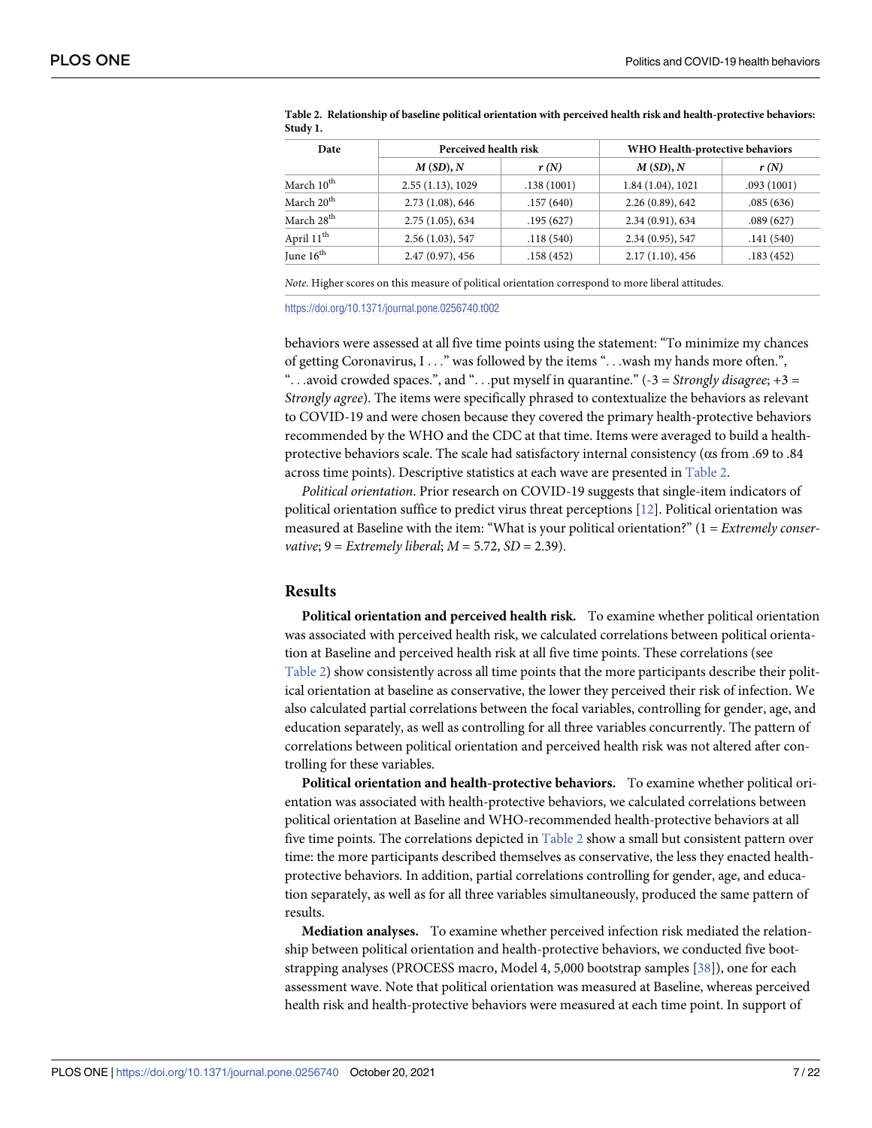| Date                   | Perceived health risk |            | WHO Health-protective behaviors |            |  |  |
|------------------------|-----------------------|------------|---------------------------------|------------|--|--|
|                        | $M(SD)$ , $N$         | r(N)       | $M(SD)$ , $N$                   | r(N)       |  |  |
| March $10^{\text{th}}$ | 2.55(1.13), 1029      | .138(1001) | 1.84(1.04), 1021                | .093(1001) |  |  |
| March 20 <sup>th</sup> | 2.73(1.08), 646       | .157(640)  | 2.26(0.89), 642                 | .085(636)  |  |  |
| March 28 <sup>th</sup> | 2.75(1.05), 634       | .195(627)  | 2.34 (0.91), 634                | .089(627)  |  |  |
| April 11 <sup>th</sup> | 2.56(1.03), 547       | .118(540)  | 2.34 (0.95), 547                | .141(540)  |  |  |
| June $16th$            | 2.47(0.97), 456       | .158(452)  | 2.17(1.10), 456                 | .183(452)  |  |  |
|                        |                       |            |                                 |            |  |  |

<span id="page-6-0"></span>**Table 2. Relationship of baseline political orientation with perceived health risk and health-protective behaviors: Study 1.**

*Note*. Higher scores on this measure of political orientation correspond to more liberal attitudes.

<https://doi.org/10.1371/journal.pone.0256740.t002>

behaviors were assessed at all five time points using the statement: "To minimize my chances of getting Coronavirus, I . . ." was followed by the items ". . .wash my hands more often.", ". . .avoid crowded spaces.", and ". . .put myself in quarantine." (-3 = *Strongly disagree*; +3 = *Strongly agree*). The items were specifically phrased to contextualize the behaviors as relevant to COVID-19 and were chosen because they covered the primary health-protective behaviors recommended by the WHO and the CDC at that time. Items were averaged to build a healthprotective behaviors scale. The scale had satisfactory internal consistency ( $\alpha$ s from .69 to .84 across time points). Descriptive statistics at each wave are presented in Table 2.

*Political orientation*. Prior research on COVID-19 suggests that single-item indicators of political orientation suffice to predict virus threat perceptions [[12](#page-19-0)]. Political orientation was measured at Baseline with the item: "What is your political orientation?" (1 = *Extremely conservative*; 9 = *Extremely liberal*; *M* = 5.72, *SD* = 2.39).

#### **Results**

**Political orientation and perceived health risk.** To examine whether political orientation was associated with perceived health risk, we calculated correlations between political orientation at Baseline and perceived health risk at all five time points. These correlations (see Table 2) show consistently across all time points that the more participants describe their political orientation at baseline as conservative, the lower they perceived their risk of infection. We also calculated partial correlations between the focal variables, controlling for gender, age, and education separately, as well as controlling for all three variables concurrently. The pattern of correlations between political orientation and perceived health risk was not altered after controlling for these variables.

**Political orientation and health-protective behaviors.** To examine whether political orientation was associated with health-protective behaviors, we calculated correlations between political orientation at Baseline and WHO-recommended health-protective behaviors at all five time points. The correlations depicted in Table 2 show a small but consistent pattern over time: the more participants described themselves as conservative, the less they enacted healthprotective behaviors. In addition, partial correlations controlling for gender, age, and education separately, as well as for all three variables simultaneously, produced the same pattern of results.

**Mediation analyses.** To examine whether perceived infection risk mediated the relationship between political orientation and health-protective behaviors, we conducted five bootstrapping analyses (PROCESS macro, Model 4, 5,000 bootstrap samples [[38](#page-20-0)]), one for each assessment wave. Note that political orientation was measured at Baseline, whereas perceived health risk and health-protective behaviors were measured at each time point. In support of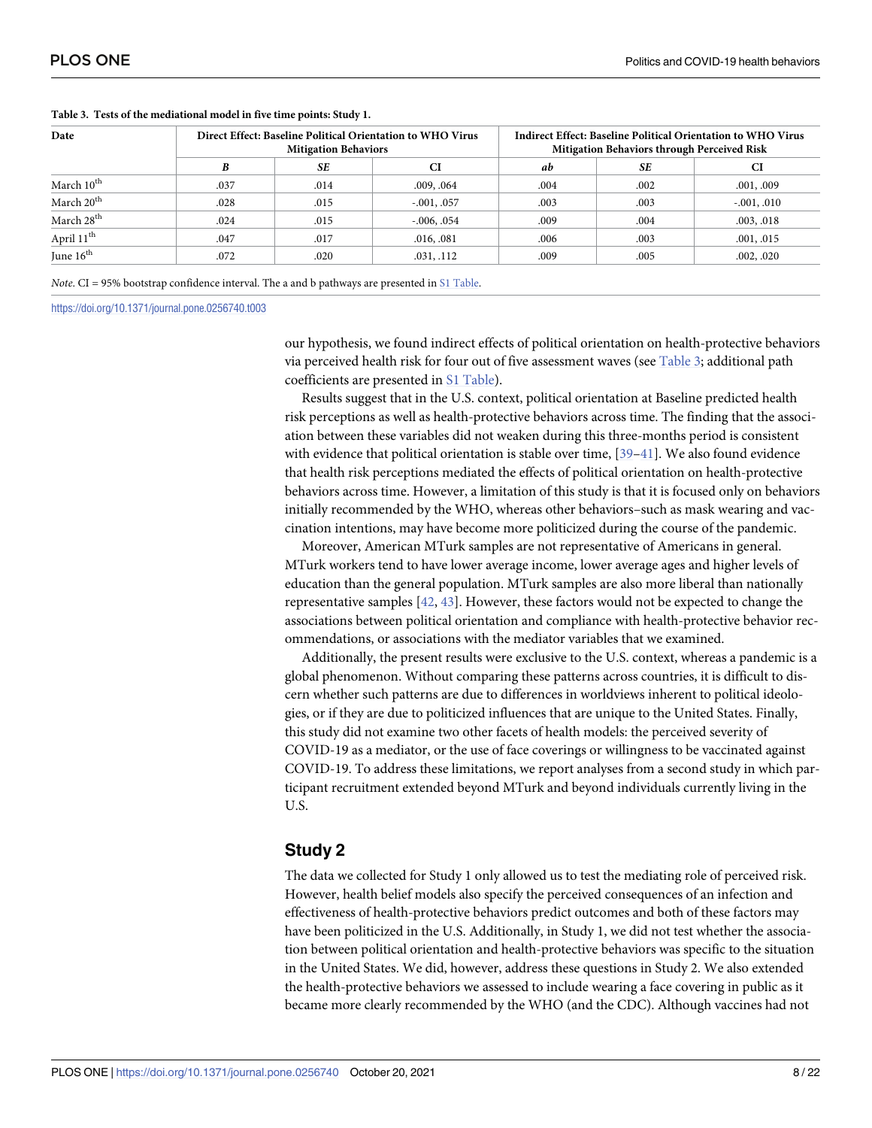| Date                   |      | <b>Mitigation Behaviors</b> | Direct Effect: Baseline Political Orientation to WHO Virus | Indirect Effect: Baseline Political Orientation to WHO Virus<br>Mitigation Behaviors through Perceived Risk |      |               |  |  |
|------------------------|------|-----------------------------|------------------------------------------------------------|-------------------------------------------------------------------------------------------------------------|------|---------------|--|--|
|                        | B    | <b>SE</b>                   | CI                                                         | ab                                                                                                          | SЕ   | CI            |  |  |
| March 10 <sup>th</sup> | .037 | .014                        | .009, .064                                                 | .004                                                                                                        | .002 | .001, .009    |  |  |
| March 20 <sup>th</sup> | .028 | .015                        | $-.001, .057$                                              | .003                                                                                                        | .003 | $-.001, .010$ |  |  |
| March 28 <sup>th</sup> | .024 | .015                        | $-0.006, 0.054$                                            | .009                                                                                                        | .004 | .003, .018    |  |  |
| April 11 <sup>th</sup> | .047 | .017                        | .016, .081                                                 | .006                                                                                                        | .003 | .001, .015    |  |  |
| June $16th$            | .072 | .020                        | .031, .112                                                 | .009                                                                                                        | .005 | .002, .020    |  |  |

#### <span id="page-7-0"></span>**Table 3. Tests of the mediational model in five time points: Study 1.**

*Note*. CI = 95% bootstrap confidence interval. The a and b pathways are presented in S1 [Table](#page-17-0).

<https://doi.org/10.1371/journal.pone.0256740.t003>

our hypothesis, we found indirect effects of political orientation on health-protective behaviors via perceived health risk for four out of five assessment waves (see Table 3; additional path coefficients are presented in S1 [Table](#page-17-0)).

Results suggest that in the U.S. context, political orientation at Baseline predicted health risk perceptions as well as health-protective behaviors across time. The finding that the association between these variables did not weaken during this three-months period is consistent with evidence that political orientation is stable over time, [39-[41](#page-21-0)]. We also found evidence that health risk perceptions mediated the effects of political orientation on health-protective behaviors across time. However, a limitation of this study is that it is focused only on behaviors initially recommended by the WHO, whereas other behaviors–such as mask wearing and vaccination intentions, may have become more politicized during the course of the pandemic.

Moreover, American MTurk samples are not representative of Americans in general. MTurk workers tend to have lower average income, lower average ages and higher levels of education than the general population. MTurk samples are also more liberal than nationally representative samples [[42](#page-21-0), [43](#page-21-0)]. However, these factors would not be expected to change the associations between political orientation and compliance with health-protective behavior recommendations, or associations with the mediator variables that we examined.

Additionally, the present results were exclusive to the U.S. context, whereas a pandemic is a global phenomenon. Without comparing these patterns across countries, it is difficult to discern whether such patterns are due to differences in worldviews inherent to political ideologies, or if they are due to politicized influences that are unique to the United States. Finally, this study did not examine two other facets of health models: the perceived severity of COVID-19 as a mediator, or the use of face coverings or willingness to be vaccinated against COVID-19. To address these limitations, we report analyses from a second study in which participant recruitment extended beyond MTurk and beyond individuals currently living in the U.S.

## **Study 2**

The data we collected for Study 1 only allowed us to test the mediating role of perceived risk. However, health belief models also specify the perceived consequences of an infection and effectiveness of health-protective behaviors predict outcomes and both of these factors may have been politicized in the U.S. Additionally, in Study 1, we did not test whether the association between political orientation and health-protective behaviors was specific to the situation in the United States. We did, however, address these questions in Study 2. We also extended the health-protective behaviors we assessed to include wearing a face covering in public as it became more clearly recommended by the WHO (and the CDC). Although vaccines had not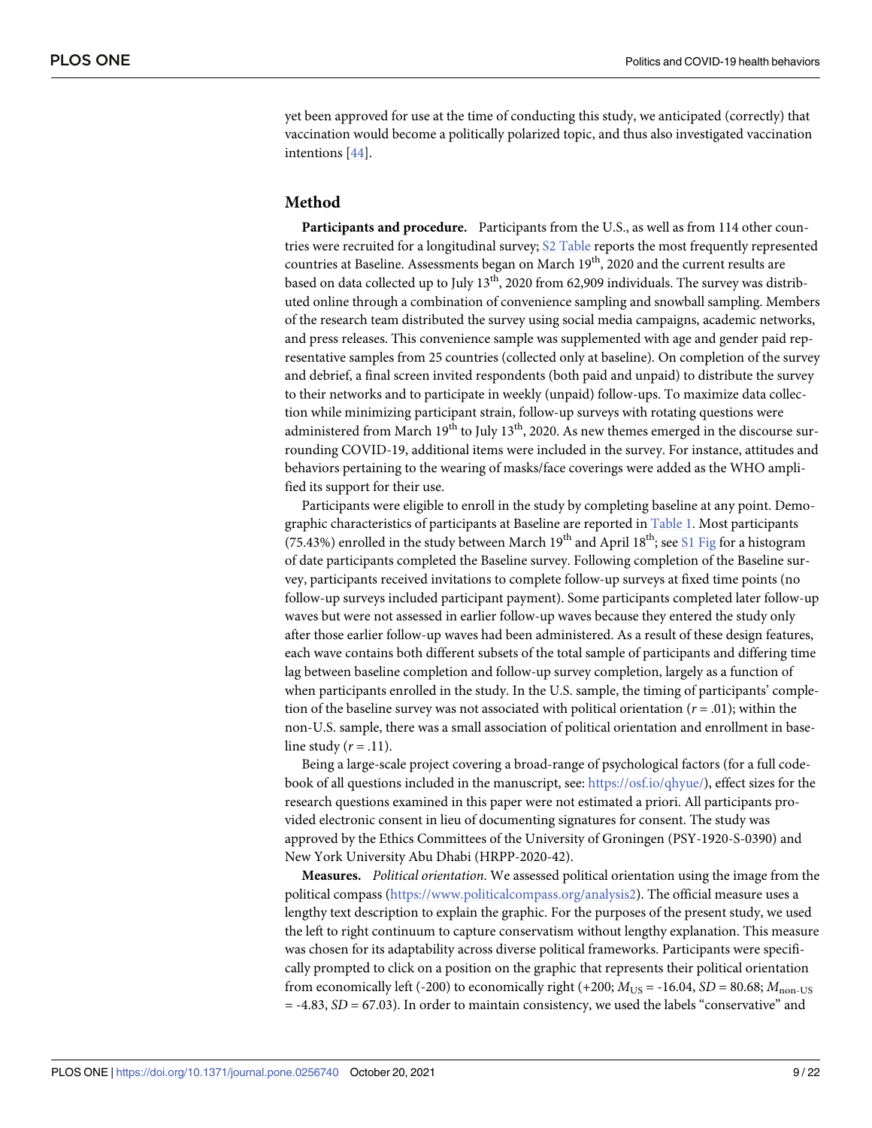<span id="page-8-0"></span>yet been approved for use at the time of conducting this study, we anticipated (correctly) that vaccination would become a politically polarized topic, and thus also investigated vaccination intentions [\[44\]](#page-21-0).

#### **Method**

**Participants and procedure.** Participants from the U.S., as well as from 114 other countries were recruited for a longitudinal survey; S2 [Table](#page-17-0) reports the most frequently represented countries at Baseline. Assessments began on March  $19<sup>th</sup>$ , 2020 and the current results are based on data collected up to July  $13<sup>th</sup>$ , 2020 from 62,909 individuals. The survey was distributed online through a combination of convenience sampling and snowball sampling. Members of the research team distributed the survey using social media campaigns, academic networks, and press releases. This convenience sample was supplemented with age and gender paid representative samples from 25 countries (collected only at baseline). On completion of the survey and debrief, a final screen invited respondents (both paid and unpaid) to distribute the survey to their networks and to participate in weekly (unpaid) follow-ups. To maximize data collection while minimizing participant strain, follow-up surveys with rotating questions were administered from March  $19<sup>th</sup>$  to July  $13<sup>th</sup>$ , 2020. As new themes emerged in the discourse surrounding COVID-19, additional items were included in the survey. For instance, attitudes and behaviors pertaining to the wearing of masks/face coverings were added as the WHO amplified its support for their use.

Participants were eligible to enroll in the study by completing baseline at any point. Demo-graphic characteristics of participants at Baseline are reported in [Table](#page-5-0) 1. Most participants (75.43%) enrolled in the study between March  $19<sup>th</sup>$  and April  $18<sup>th</sup>$ ; see S1 [Fig](#page-17-0) for a histogram of date participants completed the Baseline survey. Following completion of the Baseline survey, participants received invitations to complete follow-up surveys at fixed time points (no follow-up surveys included participant payment). Some participants completed later follow-up waves but were not assessed in earlier follow-up waves because they entered the study only after those earlier follow-up waves had been administered. As a result of these design features, each wave contains both different subsets of the total sample of participants and differing time lag between baseline completion and follow-up survey completion, largely as a function of when participants enrolled in the study. In the U.S. sample, the timing of participants' completion of the baseline survey was not associated with political orientation (*r* = .01); within the non-U.S. sample, there was a small association of political orientation and enrollment in baseline study  $(r = .11)$ .

Being a large-scale project covering a broad-range of psychological factors (for a full codebook of all questions included in the manuscript, see: <https://osf.io/qhyue/>), effect sizes for the research questions examined in this paper were not estimated a priori. All participants provided electronic consent in lieu of documenting signatures for consent. The study was approved by the Ethics Committees of the University of Groningen (PSY-1920-S-0390) and New York University Abu Dhabi (HRPP-2020-42).

**Measures.** *Political orientation*. We assessed political orientation using the image from the political compass [\(https://www.politicalcompass.org/analysis2\)](https://www.politicalcompass.org/analysis2). The official measure uses a lengthy text description to explain the graphic. For the purposes of the present study, we used the left to right continuum to capture conservatism without lengthy explanation. This measure was chosen for its adaptability across diverse political frameworks. Participants were specifically prompted to click on a position on the graphic that represents their political orientation from economically left (-200) to economically right (+200;  $M_{US}$  = -16.04, *SD* = 80.68;  $M_{\text{non-US}}$  $=$  -4.83,  $SD = 67.03$ ). In order to maintain consistency, we used the labels "conservative" and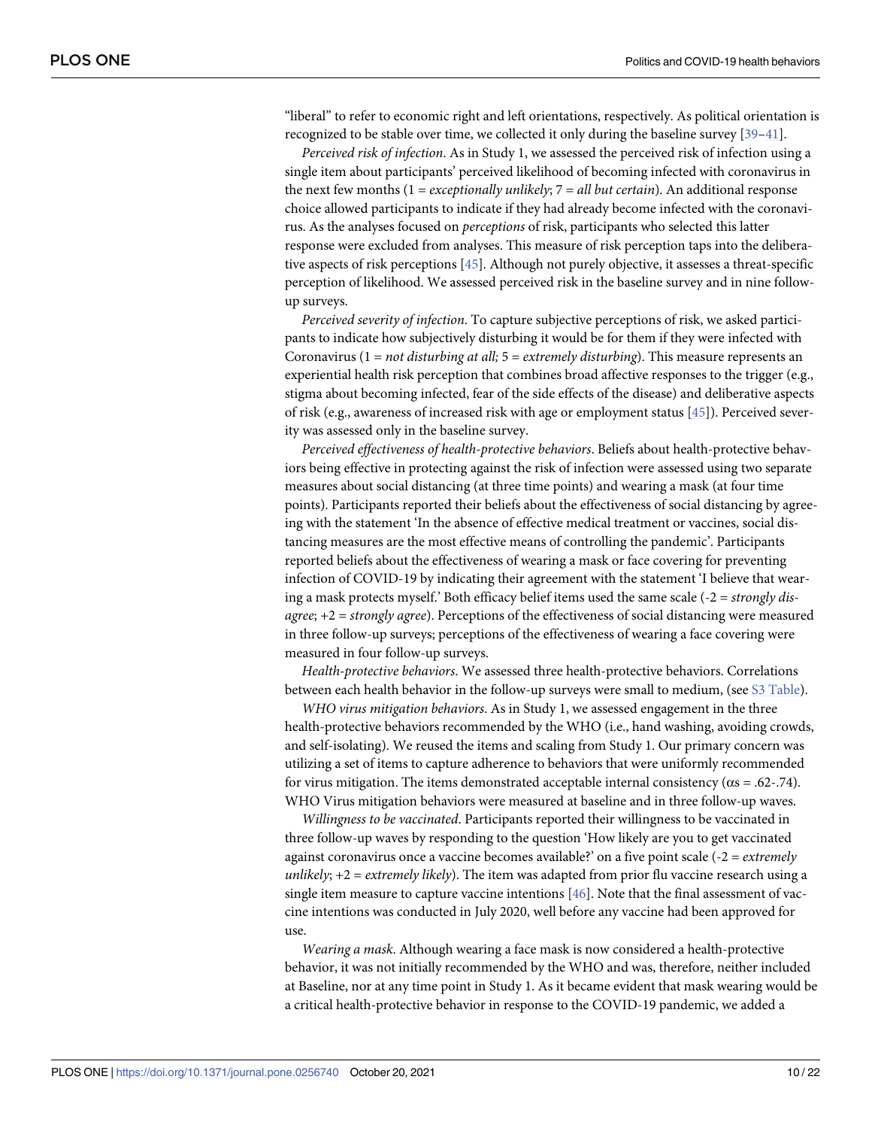<span id="page-9-0"></span>"liberal" to refer to economic right and left orientations, respectively. As political orientation is recognized to be stable over time, we collected it only during the baseline survey [\[39](#page-20-0)–[41](#page-21-0)].

*Perceived risk of infection*. As in Study 1, we assessed the perceived risk of infection using a single item about participants' perceived likelihood of becoming infected with coronavirus in the next few months (1 = *exceptionally unlikely*; 7 = *all but certain*). An additional response choice allowed participants to indicate if they had already become infected with the coronavirus. As the analyses focused on *perceptions* of risk, participants who selected this latter response were excluded from analyses. This measure of risk perception taps into the deliberative aspects of risk perceptions [\[45\]](#page-21-0). Although not purely objective, it assesses a threat-specific perception of likelihood. We assessed perceived risk in the baseline survey and in nine followup surveys.

*Perceived severity of infection*. To capture subjective perceptions of risk, we asked participants to indicate how subjectively disturbing it would be for them if they were infected with Coronavirus (1 = *not disturbing at all;* 5 = *extremely disturbing*). This measure represents an experiential health risk perception that combines broad affective responses to the trigger (e.g., stigma about becoming infected, fear of the side effects of the disease) and deliberative aspects of risk (e.g., awareness of increased risk with age or employment status [\[45\]](#page-21-0)). Perceived severity was assessed only in the baseline survey.

*Perceived effectiveness of health-protective behaviors*. Beliefs about health-protective behaviors being effective in protecting against the risk of infection were assessed using two separate measures about social distancing (at three time points) and wearing a mask (at four time points). Participants reported their beliefs about the effectiveness of social distancing by agreeing with the statement 'In the absence of effective medical treatment or vaccines, social distancing measures are the most effective means of controlling the pandemic'. Participants reported beliefs about the effectiveness of wearing a mask or face covering for preventing infection of COVID-19 by indicating their agreement with the statement 'I believe that wearing a mask protects myself.' Both efficacy belief items used the same scale (-2 = *strongly disagree*; +2 = *strongly agree*). Perceptions of the effectiveness of social distancing were measured in three follow-up surveys; perceptions of the effectiveness of wearing a face covering were measured in four follow-up surveys.

*Health-protective behaviors*. We assessed three health-protective behaviors. Correlations between each health behavior in the follow-up surveys were small to medium, (see S3 [Table\)](#page-17-0).

*WHO virus mitigation behaviors*. As in Study 1, we assessed engagement in the three health-protective behaviors recommended by the WHO (i.e., hand washing, avoiding crowds, and self-isolating). We reused the items and scaling from Study 1. Our primary concern was utilizing a set of items to capture adherence to behaviors that were uniformly recommended for virus mitigation. The items demonstrated acceptable internal consistency ( $\alpha$ s = .62-.74). WHO Virus mitigation behaviors were measured at baseline and in three follow-up waves.

*Willingness to be vaccinated*. Participants reported their willingness to be vaccinated in three follow-up waves by responding to the question 'How likely are you to get vaccinated against coronavirus once a vaccine becomes available?' on a five point scale (-2 = *extremely unlikely*; +2 = *extremely likely*). The item was adapted from prior flu vaccine research using a single item measure to capture vaccine intentions [\[46\]](#page-21-0). Note that the final assessment of vaccine intentions was conducted in July 2020, well before any vaccine had been approved for use.

*Wearing a mask*. Although wearing a face mask is now considered a health-protective behavior, it was not initially recommended by the WHO and was, therefore, neither included at Baseline, nor at any time point in Study 1. As it became evident that mask wearing would be a critical health-protective behavior in response to the COVID-19 pandemic, we added a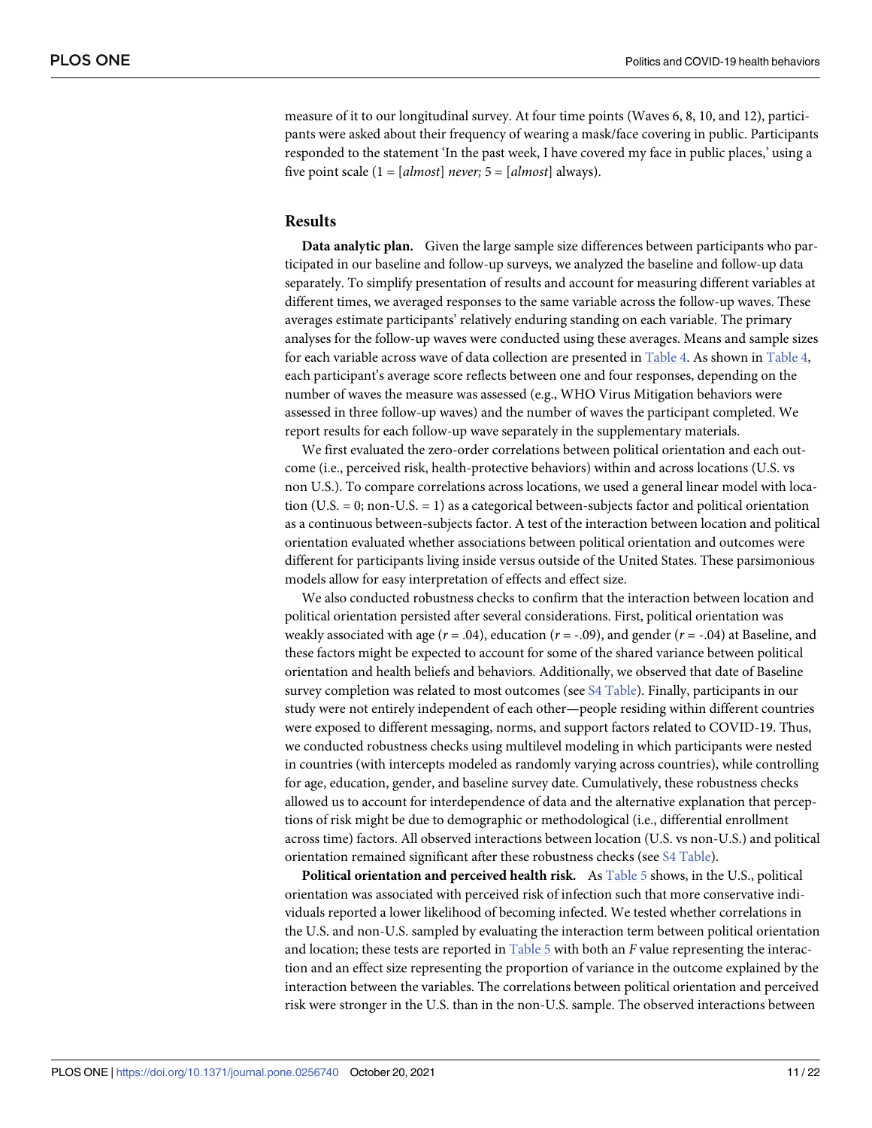<span id="page-10-0"></span>measure of it to our longitudinal survey. At four time points (Waves 6, 8, 10, and 12), participants were asked about their frequency of wearing a mask/face covering in public. Participants responded to the statement 'In the past week, I have covered my face in public places,' using a five point scale (1 = [*almost*] *never;* 5 = [*almost*] always).

#### **Results**

**Data analytic plan.** Given the large sample size differences between participants who participated in our baseline and follow-up surveys, we analyzed the baseline and follow-up data separately. To simplify presentation of results and account for measuring different variables at different times, we averaged responses to the same variable across the follow-up waves. These averages estimate participants' relatively enduring standing on each variable. The primary analyses for the follow-up waves were conducted using these averages. Means and sample sizes for each variable across wave of data collection are presented in [Table](#page-11-0) 4. As shown in [Table](#page-11-0) 4, each participant's average score reflects between one and four responses, depending on the number of waves the measure was assessed (e.g., WHO Virus Mitigation behaviors were assessed in three follow-up waves) and the number of waves the participant completed. We report results for each follow-up wave separately in the supplementary materials.

We first evaluated the zero-order correlations between political orientation and each outcome (i.e., perceived risk, health-protective behaviors) within and across locations (U.S. vs non U.S.). To compare correlations across locations, we used a general linear model with location (U.S.  $= 0$ ; non-U.S.  $= 1$ ) as a categorical between-subjects factor and political orientation as a continuous between-subjects factor. A test of the interaction between location and political orientation evaluated whether associations between political orientation and outcomes were different for participants living inside versus outside of the United States. These parsimonious models allow for easy interpretation of effects and effect size.

We also conducted robustness checks to confirm that the interaction between location and political orientation persisted after several considerations. First, political orientation was weakly associated with age (*r* = .04), education (*r* = -.09), and gender (*r* = -.04) at Baseline, and these factors might be expected to account for some of the shared variance between political orientation and health beliefs and behaviors. Additionally, we observed that date of Baseline survey completion was related to most outcomes (see S4 [Table](#page-17-0)). Finally, participants in our study were not entirely independent of each other—people residing within different countries were exposed to different messaging, norms, and support factors related to COVID-19. Thus, we conducted robustness checks using multilevel modeling in which participants were nested in countries (with intercepts modeled as randomly varying across countries), while controlling for age, education, gender, and baseline survey date. Cumulatively, these robustness checks allowed us to account for interdependence of data and the alternative explanation that perceptions of risk might be due to demographic or methodological (i.e., differential enrollment across time) factors. All observed interactions between location (U.S. vs non-U.S.) and political orientation remained significant after these robustness checks (see S4 [Table](#page-17-0)).

**Political orientation and perceived health risk.** As [Table](#page-12-0) 5 shows, in the U.S., political orientation was associated with perceived risk of infection such that more conservative individuals reported a lower likelihood of becoming infected. We tested whether correlations in the U.S. and non-U.S. sampled by evaluating the interaction term between political orientation and location; these tests are reported in [Table](#page-12-0) 5 with both an *F* value representing the interaction and an effect size representing the proportion of variance in the outcome explained by the interaction between the variables. The correlations between political orientation and perceived risk were stronger in the U.S. than in the non-U.S. sample. The observed interactions between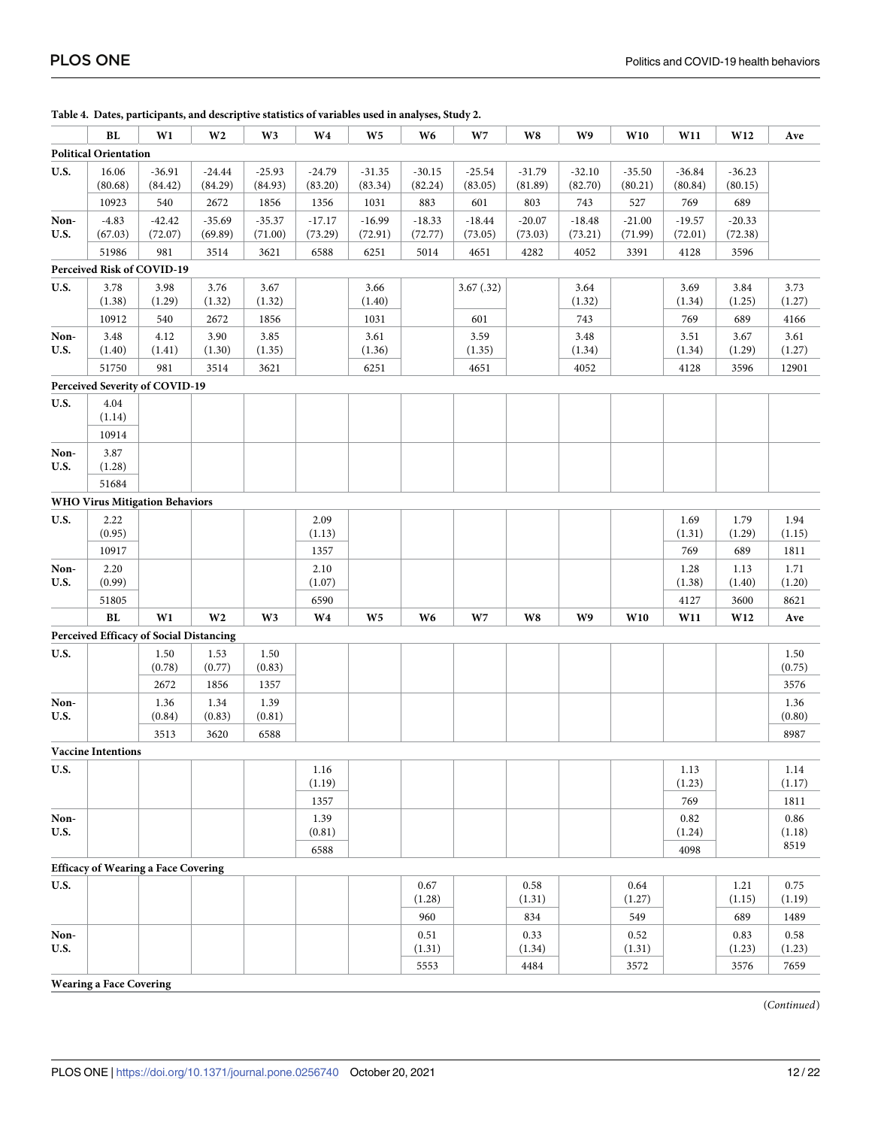|              | BL                                             | W1             | W <sub>2</sub> | W <sub>3</sub> | W <sub>4</sub> | W <sub>5</sub> | W <sub>6</sub> | W <sub>7</sub> | W8             | W9             | W10            | W11            | W12            | Ave            |
|--------------|------------------------------------------------|----------------|----------------|----------------|----------------|----------------|----------------|----------------|----------------|----------------|----------------|----------------|----------------|----------------|
|              | <b>Political Orientation</b>                   |                |                |                |                |                |                |                |                |                |                |                |                |                |
| <b>U.S.</b>  | 16.06                                          | $-36.91$       | $-24.44$       | $-25.93$       | $-24.79$       | $-31.35$       | $-30.15$       | $-25.54$       | $-31.79$       | $-32.10$       | $-35.50$       | $-36.84$       | $-36.23$       |                |
|              | (80.68)                                        | (84.42)        | (84.29)        | (84.93)        | (83.20)        | (83.34)        | (82.24)        | (83.05)        | (81.89)        | (82.70)        | (80.21)        | (80.84)        | (80.15)        |                |
|              | 10923                                          | 540            | 2672           | 1856           | 1356           | 1031           | 883            | 601            | 803            | 743            | 527            | 769            | 689            |                |
| Non-         | $-4.83$                                        | $-42.42$       | $-35.69$       | $-35.37$       | $-17.17$       | $-16.99$       | $-18.33$       | $-18.44$       | $-20.07$       | $-18.48$       | $-21.00$       | $-19.57$       | $-20.33$       |                |
| U.S.         | (67.03)                                        | (72.07)        | (69.89)        | (71.00)        | (73.29)        | (72.91)        | (72.77)        | (73.05)        | (73.03)        | (73.21)        | (71.99)        | (72.01)        | (72.38)        |                |
|              | 51986                                          | 981            | 3514           | 3621           | 6588           | 6251           | 5014           | 4651           | 4282           | 4052           | 3391           | 4128           | 3596           |                |
|              | Perceived Risk of COVID-19                     |                |                |                |                |                |                |                |                |                |                |                |                |                |
| <b>U.S.</b>  | 3.78<br>(1.38)                                 | 3.98<br>(1.29) | 3.76<br>(1.32) | 3.67<br>(1.32) |                | 3.66<br>(1.40) |                | 3.67(0.32)     |                | 3.64<br>(1.32) |                | 3.69<br>(1.34) | 3.84<br>(1.25) | 3.73<br>(1.27) |
|              | 10912                                          | 540            | 2672           | 1856           |                | 1031           |                | 601            |                | 743            |                | 769            | 689            | 4166           |
| Non-         | 3.48                                           | 4.12           | 3.90           | 3.85           |                | 3.61           |                | 3.59           |                | 3.48           |                | 3.51           | 3.67           | 3.61           |
| U.S.         | (1.40)                                         | (1.41)         | (1.30)         | (1.35)         |                | (1.36)         |                | (1.35)         |                | (1.34)         |                | (1.34)         | (1.29)         | (1.27)         |
|              | 51750                                          | 981            | 3514           | 3621           |                | 6251           |                | 4651           |                | 4052           |                | 4128           | 3596           | 12901          |
|              | Perceived Severity of COVID-19                 |                |                |                |                |                |                |                |                |                |                |                |                |                |
| <b>U.S.</b>  | 4.04                                           |                |                |                |                |                |                |                |                |                |                |                |                |                |
|              | (1.14)                                         |                |                |                |                |                |                |                |                |                |                |                |                |                |
|              | 10914                                          |                |                |                |                |                |                |                |                |                |                |                |                |                |
| Non-         | 3.87                                           |                |                |                |                |                |                |                |                |                |                |                |                |                |
| U.S.         | (1.28)                                         |                |                |                |                |                |                |                |                |                |                |                |                |                |
|              | 51684                                          |                |                |                |                |                |                |                |                |                |                |                |                |                |
| <b>U.S.</b>  | <b>WHO Virus Mitigation Behaviors</b><br>2.22  |                |                |                | 2.09           |                |                |                |                |                |                |                | 1.79           | 1.94           |
|              | (0.95)                                         |                |                |                | (1.13)         |                |                |                |                |                |                | 1.69<br>(1.31) | (1.29)         | (1.15)         |
|              | 10917                                          |                |                |                | 1357           |                |                |                |                |                |                | 769            | 689            | 1811           |
| Non-         | 2.20                                           |                |                |                | 2.10           |                |                |                |                |                |                | 1.28           | 1.13           | 1.71           |
| U.S.         | (0.99)                                         |                |                |                | (1.07)         |                |                |                |                |                |                | (1.38)         | (1.40)         | (1.20)         |
|              | 51805                                          |                |                |                | 6590           |                |                |                |                |                |                | 4127           | 3600           | 8621           |
|              | ${\bf BL}$                                     | W1             | W <sub>2</sub> | W <sub>3</sub> | W <sub>4</sub> | W <sub>5</sub> | W <sub>6</sub> | W7             | W8             | W9             | W10            | W11            | W12            | Ave            |
|              | <b>Perceived Efficacy of Social Distancing</b> |                |                |                |                |                |                |                |                |                |                |                |                |                |
| U.S.         |                                                | 1.50           | 1.53           | 1.50           |                |                |                |                |                |                |                |                |                | 1.50           |
|              |                                                | (0.78)         | (0.77)         | (0.83)         |                |                |                |                |                |                |                |                |                | (0.75)         |
|              |                                                | 2672           | 1856           | 1357           |                |                |                |                |                |                |                |                |                | 3576           |
| Non-<br>U.S. |                                                | 1.36<br>(0.84) | 1.34<br>(0.83) | 1.39<br>(0.81) |                |                |                |                |                |                |                |                |                | 1.36<br>(0.80) |
|              |                                                | 3513           | 3620           | 6588           |                |                |                |                |                |                |                |                |                | 8987           |
|              | <b>Vaccine Intentions</b>                      |                |                |                |                |                |                |                |                |                |                |                |                |                |
| U.S.         |                                                |                |                |                | 1.16           |                |                |                |                |                |                | 1.13           |                | 1.14           |
|              |                                                |                |                |                | (1.19)         |                |                |                |                |                |                | (1.23)         |                | (1.17)         |
|              |                                                |                |                |                | 1357           |                |                |                |                |                |                | 769            |                | 1811           |
| Non-         |                                                |                |                |                | 1.39           |                |                |                |                |                |                | 0.82           |                | 0.86           |
| U.S.         |                                                |                |                |                | (0.81)         |                |                |                |                |                |                | (1.24)         |                | (1.18)<br>8519 |
|              |                                                |                |                |                | 6588           |                |                |                |                |                |                | 4098           |                |                |
|              | <b>Efficacy of Wearing a Face Covering</b>     |                |                |                |                |                |                |                |                |                |                |                |                |                |
| U.S.         |                                                |                |                |                |                |                | 0.67<br>(1.28) |                | 0.58<br>(1.31) |                | 0.64<br>(1.27) |                | 1.21<br>(1.15) | 0.75<br>(1.19) |
|              |                                                |                |                |                |                |                | 960            |                | 834            |                | 549            |                | 689            | 1489           |
| Non-         |                                                |                |                |                |                |                | 0.51           |                | 0.33           |                | 0.52           |                | 0.83           | 0.58           |
| <b>U.S.</b>  |                                                |                |                |                |                |                | (1.31)         |                | (1.34)         |                | (1.31)         |                | (1.23)         | (1.23)         |
|              |                                                |                |                |                |                |                | 5553           |                | 4484           |                | 3572           |                | 3576           | 7659           |
|              | <b>Wearing a Face Covering</b>                 |                |                |                |                |                |                |                |                |                |                |                |                |                |

<span id="page-11-0"></span>**[Table](#page-10-0) 4. Dates, participants, and descriptive statistics of variables used in analyses, Study 2.**

(*Continued*)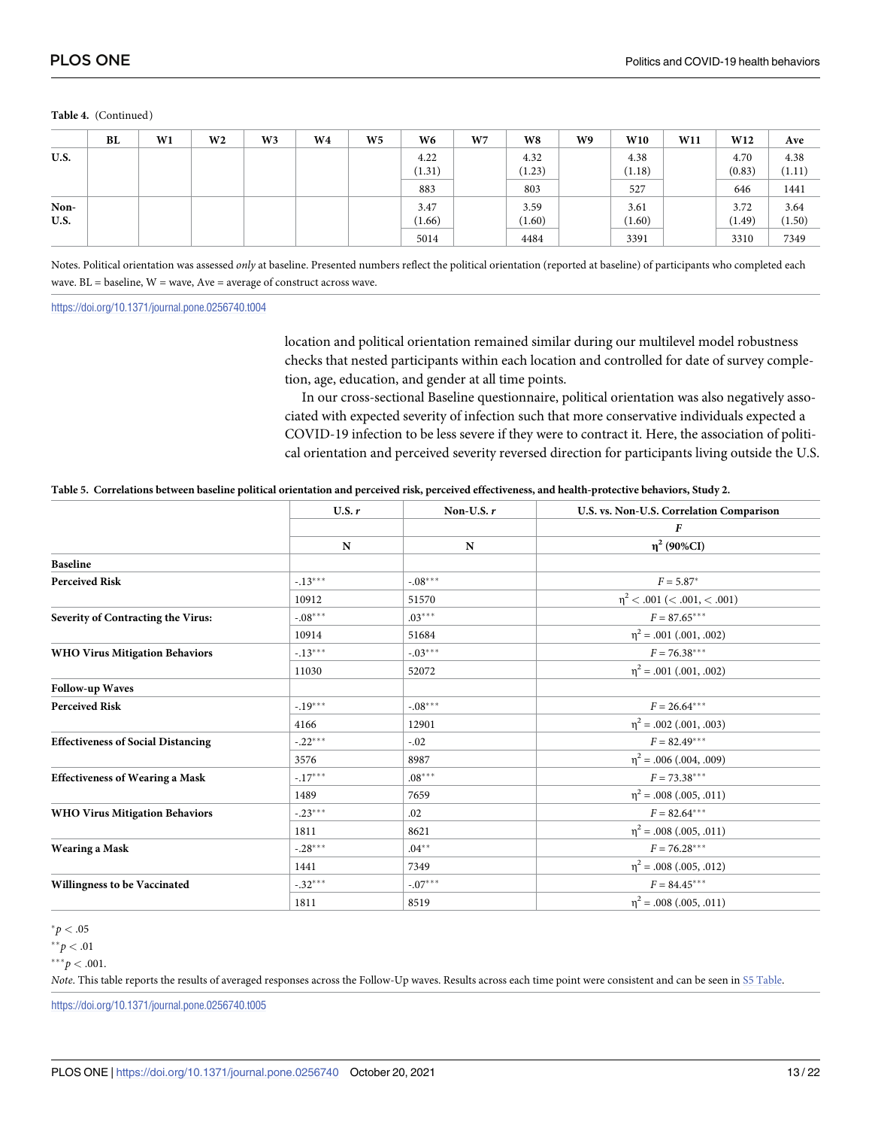#### <span id="page-12-0"></span>**Table 4.** (Continued)

|              | BL | W1 | W <sub>2</sub> | W3 | W4 | W <sub>5</sub> | W6             | W <sub>7</sub> | W8             | W9 | W10            | W11 | W12            | Ave            |
|--------------|----|----|----------------|----|----|----------------|----------------|----------------|----------------|----|----------------|-----|----------------|----------------|
| U.S.         |    |    |                |    |    |                | 4.22<br>(1.31) |                | 4.32<br>(1.23) |    | 4.38<br>(1.18) |     | 4.70<br>(0.83) | 4.38<br>(1.11) |
|              |    |    |                |    |    |                | 883            |                | 803            |    | 527            |     | 646            | 1441           |
| Non-<br>U.S. |    |    |                |    |    |                | 3.47<br>(1.66) |                | 3.59<br>(1.60) |    | 3.61<br>(1.60) |     | 3.72<br>(1.49) | 3.64<br>(1.50) |
|              |    |    |                |    |    |                | 5014           |                | 4484           |    | 3391           |     | 3310           | 7349           |

Notes. Political orientation was assessed *only* at baseline. Presented numbers reflect the political orientation (reported at baseline) of participants who completed each wave. BL = baseline, W = wave, Ave = average of construct across wave.

<https://doi.org/10.1371/journal.pone.0256740.t004>

location and political orientation remained similar during our multilevel model robustness checks that nested participants within each location and controlled for date of survey completion, age, education, and gender at all time points.

In our cross-sectional Baseline questionnaire, political orientation was also negatively associated with expected severity of infection such that more conservative individuals expected a COVID-19 infection to be less severe if they were to contract it. Here, the association of political orientation and perceived severity reversed direction for participants living outside the U.S.

#### [Table](#page-10-0) 5. Correlations between baseline political orientation and perceived risk, perceived effectiveness, and health-protective behaviors, Study 2.

|                                           | U.S. r    | Non-U.S. $r$ | U.S. vs. Non-U.S. Correlation Comparison |
|-------------------------------------------|-----------|--------------|------------------------------------------|
|                                           |           |              | F                                        |
|                                           | N         | N            | $\eta^2$ (90%CI)                         |
| <b>Baseline</b>                           |           |              |                                          |
| <b>Perceived Risk</b>                     | $-.13***$ | $-.08***$    | $F = 5.87*$                              |
|                                           | 10912     | 51570        | $\eta^2$ < .001 (< .001, < .001)         |
| Severity of Contracting the Virus:        | $-.08***$ | $.03***$     | $F = 87.65***$                           |
|                                           | 10914     | 51684        | $\eta^2$ = .001 (.001, .002)             |
| <b>WHO Virus Mitigation Behaviors</b>     | $-.13***$ | $-03***$     | $F = 76.38***$                           |
|                                           | 11030     | 52072        | $\eta^2$ = .001 (.001, .002)             |
| <b>Follow-up Waves</b>                    |           |              |                                          |
| <b>Perceived Risk</b>                     | $-.19***$ | $-.08***$    | $F = 26.64***$                           |
|                                           | 4166      | 12901        | $\eta^2$ = .002 (.001, .003)             |
| <b>Effectiveness of Social Distancing</b> | $-.22***$ | $-.02$       | $F = 82.49***$                           |
|                                           | 3576      | 8987         | $\eta^2$ = .006 (.004, .009)             |
| <b>Effectiveness of Wearing a Mask</b>    | $-.17***$ | $.08***$     | $F = 73.38***$                           |
|                                           | 1489      | 7659         | $\eta^2$ = .008 (.005, .011)             |
| <b>WHO Virus Mitigation Behaviors</b>     | $-.23***$ | .02          | $F = 82.64***$                           |
|                                           | 1811      | 8621         | $\eta^2$ = .008 (.005, .011)             |
| <b>Wearing a Mask</b>                     | $-.28***$ | $.04***$     | $F = 76.28***$                           |
|                                           | 1441      | 7349         | $\eta^2$ = .008 (.005, .012)             |
| Willingness to be Vaccinated              | $-.32***$ | $-.07***$    | $F = 84.45***$                           |
|                                           | 1811      | 8519         | $\eta^2$ = .008 (.005, .011)             |

 $^{*}p < .05$ 

 $*^*p < .01$ 

*Note*. This table reports the results of averaged responses across the Follow-Up waves. Results across each time point were consistent and can be seen in S5 [Table](#page-17-0).

<https://doi.org/10.1371/journal.pone.0256740.t005>

 $***p<.001$ .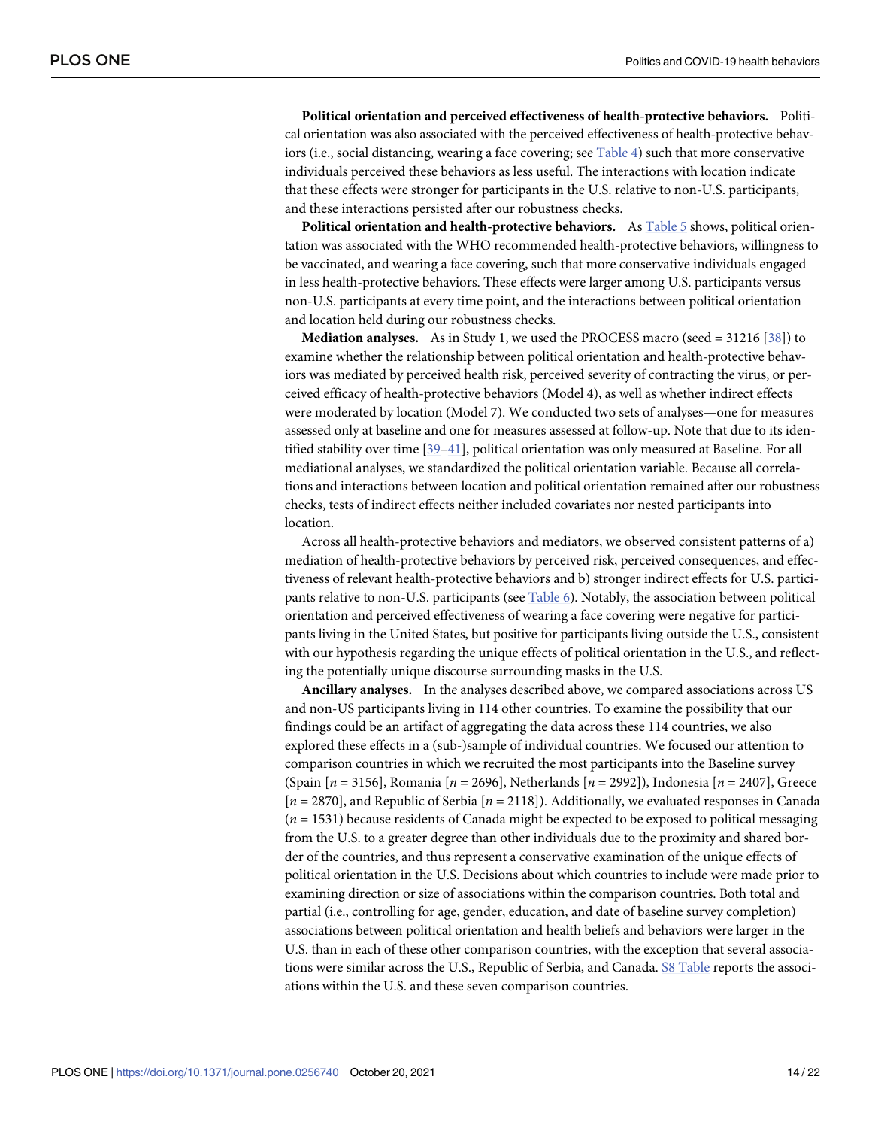<span id="page-13-0"></span>**Political orientation and perceived effectiveness of health-protective behaviors.** Political orientation was also associated with the perceived effectiveness of health-protective behaviors (i.e., social distancing, wearing a face covering; see [Table](#page-11-0) 4) such that more conservative individuals perceived these behaviors as less useful. The interactions with location indicate that these effects were stronger for participants in the U.S. relative to non-U.S. participants, and these interactions persisted after our robustness checks.

**Political orientation and health-protective behaviors.** As [Table](#page-12-0) 5 shows, political orientation was associated with the WHO recommended health-protective behaviors, willingness to be vaccinated, and wearing a face covering, such that more conservative individuals engaged in less health-protective behaviors. These effects were larger among U.S. participants versus non-U.S. participants at every time point, and the interactions between political orientation and location held during our robustness checks.

**Mediation analyses.** As in Study 1, we used the PROCESS macro (seed = 31216 [\[38\]](#page-20-0)) to examine whether the relationship between political orientation and health-protective behaviors was mediated by perceived health risk, perceived severity of contracting the virus, or perceived efficacy of health-protective behaviors (Model 4), as well as whether indirect effects were moderated by location (Model 7). We conducted two sets of analyses—one for measures assessed only at baseline and one for measures assessed at follow-up. Note that due to its identified stability over time [[39](#page-20-0)–[41](#page-21-0)], political orientation was only measured at Baseline. For all mediational analyses, we standardized the political orientation variable. Because all correlations and interactions between location and political orientation remained after our robustness checks, tests of indirect effects neither included covariates nor nested participants into location.

Across all health-protective behaviors and mediators, we observed consistent patterns of a) mediation of health-protective behaviors by perceived risk, perceived consequences, and effectiveness of relevant health-protective behaviors and b) stronger indirect effects for U.S. participants relative to non-U.S. participants (see [Table](#page-14-0) 6). Notably, the association between political orientation and perceived effectiveness of wearing a face covering were negative for participants living in the United States, but positive for participants living outside the U.S., consistent with our hypothesis regarding the unique effects of political orientation in the U.S., and reflecting the potentially unique discourse surrounding masks in the U.S.

**Ancillary analyses.** In the analyses described above, we compared associations across US and non-US participants living in 114 other countries. To examine the possibility that our findings could be an artifact of aggregating the data across these 114 countries, we also explored these effects in a (sub-)sample of individual countries. We focused our attention to comparison countries in which we recruited the most participants into the Baseline survey (Spain [*n* = 3156], Romania [*n* = 2696], Netherlands [*n* = 2992]), Indonesia [*n* = 2407], Greece [*n* = 2870], and Republic of Serbia [*n* = 2118]). Additionally, we evaluated responses in Canada (*n* = 1531) because residents of Canada might be expected to be exposed to political messaging from the U.S. to a greater degree than other individuals due to the proximity and shared border of the countries, and thus represent a conservative examination of the unique effects of political orientation in the U.S. Decisions about which countries to include were made prior to examining direction or size of associations within the comparison countries. Both total and partial (i.e., controlling for age, gender, education, and date of baseline survey completion) associations between political orientation and health beliefs and behaviors were larger in the U.S. than in each of these other comparison countries, with the exception that several associations were similar across the U.S., Republic of Serbia, and Canada. S8 [Table](#page-17-0) reports the associations within the U.S. and these seven comparison countries.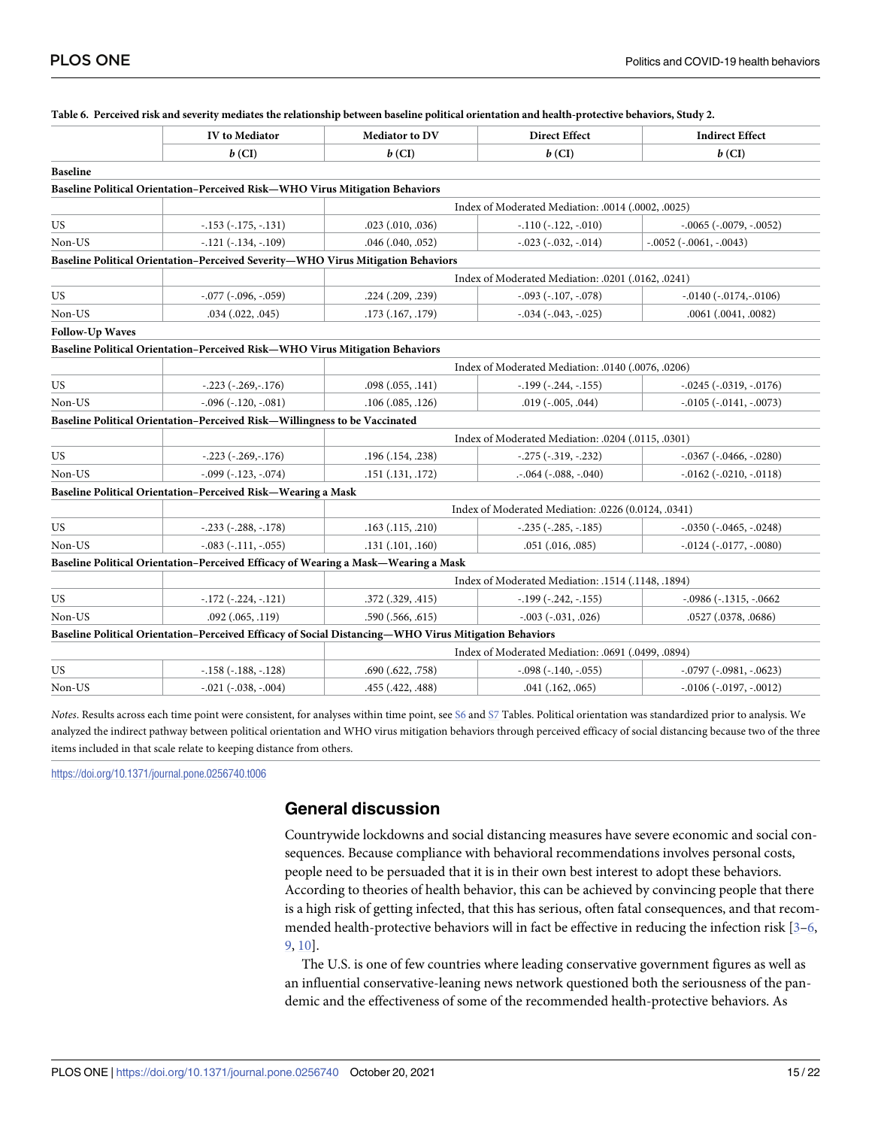|                        | <b>IV</b> to Mediator                                                                                 | Mediator to DV                                     | <b>Direct Effect</b>                                | <b>Indirect Effect</b>              |  |  |  |  |
|------------------------|-------------------------------------------------------------------------------------------------------|----------------------------------------------------|-----------------------------------------------------|-------------------------------------|--|--|--|--|
|                        | $b$ (CI)                                                                                              | $b$ (CI)                                           | $b$ (CI)                                            | $b$ (CI)                            |  |  |  |  |
| <b>Baseline</b>        |                                                                                                       |                                                    |                                                     |                                     |  |  |  |  |
|                        | Baseline Political Orientation-Perceived Risk-WHO Virus Mitigation Behaviors                          |                                                    |                                                     |                                     |  |  |  |  |
|                        |                                                                                                       | Index of Moderated Mediation: .0014 (.0002, .0025) |                                                     |                                     |  |  |  |  |
| US                     | $-.153(-.175, -.131)$                                                                                 | $.023$ $(.010, .036)$                              | $-.110 (-.122, -.010)$                              | $-.0065$ ( $-.0079, -.0052$ )       |  |  |  |  |
| Non-US                 | $-.121 (-.134, -.109)$                                                                                | $.046$ $(.040, .052)$                              | $-.023 (-032, -.014)$                               | $-.0052$ ( $-.0061, -.0043$ )       |  |  |  |  |
|                        | Baseline Political Orientation-Perceived Severity-WHO Virus Mitigation Behaviors                      |                                                    |                                                     |                                     |  |  |  |  |
|                        |                                                                                                       |                                                    | Index of Moderated Mediation: .0201 (.0162, .0241)  |                                     |  |  |  |  |
| US                     | $-.077$ ( $-.096, -.059$ )                                                                            | .224(.209, .239)                                   | $-.093$ ( $-.107, -.078$ )                          | $-0.0140$ $(-0.0174,-0.0106)$       |  |  |  |  |
| Non-US                 | $.034$ $(.022, .045)$                                                                                 | .173 (.167, .179)                                  | $-.034 (-043, -.025)$                               | .0061 (.0041, .0082)                |  |  |  |  |
| <b>Follow-Up Waves</b> |                                                                                                       |                                                    |                                                     |                                     |  |  |  |  |
|                        | Baseline Political Orientation-Perceived Risk-WHO Virus Mitigation Behaviors                          |                                                    |                                                     |                                     |  |  |  |  |
|                        |                                                                                                       |                                                    | Index of Moderated Mediation: .0140 (.0076, .0206)  |                                     |  |  |  |  |
| US                     | $-.223(-.269,-.176)$                                                                                  | .098(.055,.141)                                    | $-.199(-.244, -.155)$                               | $-0.0245$ ( $-0.0319$ , $-0.0176$ ) |  |  |  |  |
| Non-US                 | $-.096 (-.120, -.081)$                                                                                | .106(.085,.126)                                    | $.019$ ( $-.005, .044$ )                            | $-.0105 (-0141, -.0073)$            |  |  |  |  |
|                        | Baseline Political Orientation-Perceived Risk-Willingness to be Vaccinated                            |                                                    |                                                     |                                     |  |  |  |  |
|                        |                                                                                                       |                                                    | Index of Moderated Mediation: .0204 (.0115, .0301)  |                                     |  |  |  |  |
| <b>US</b>              | $-.223(-.269,-.176)$                                                                                  | .196 (.154, .238)                                  | $-.275(-.319, -.232)$                               | $-.0367$ $(-.0466, -.0280)$         |  |  |  |  |
| Non-US                 | $-.099 (-.123, -.074)$                                                                                | .151(.131,.172)                                    | $-.064$ ( $-.088, -.040$ )                          | $-.0162$ ( $-.0210, -.0118$ )       |  |  |  |  |
|                        | Baseline Political Orientation-Perceived Risk-Wearing a Mask                                          |                                                    |                                                     |                                     |  |  |  |  |
|                        |                                                                                                       |                                                    | Index of Moderated Mediation: .0226 (0.0124, .0341) |                                     |  |  |  |  |
| US                     | $-.233(-.288, -.178)$                                                                                 | $.163$ $(.115, .210)$                              | $-.235(-.285, -.185)$                               | $-.0350$ $(-.0465, -.0248)$         |  |  |  |  |
| Non-US                 | $-.083$ ( $-.111, -.055$ )                                                                            | .131(.101, .160)                                   | $.051$ $(.016, .085)$                               | $-0.0124$ $(-0.0177, -0.0080)$      |  |  |  |  |
|                        | Baseline Political Orientation-Perceived Efficacy of Wearing a Mask—Wearing a Mask                    |                                                    |                                                     |                                     |  |  |  |  |
|                        |                                                                                                       |                                                    | Index of Moderated Mediation: .1514 (.1148, .1894)  |                                     |  |  |  |  |
| <b>US</b>              | $-.172(-.224, -.121)$                                                                                 | .372(.329, .415)                                   | $-.199 (-.242, -.155)$                              | $-.0986$ ( $-.1315, -.0662$         |  |  |  |  |
| Non-US                 | $.092$ $(.065, .119)$                                                                                 | .590(.566, .615)                                   | $-.003 (-031, .026)$                                | .0527 (.0378, .0686)                |  |  |  |  |
|                        | Baseline Political Orientation-Perceived Efficacy of Social Distancing-WHO Virus Mitigation Behaviors |                                                    |                                                     |                                     |  |  |  |  |
|                        |                                                                                                       |                                                    | Index of Moderated Mediation: .0691 (.0499, .0894)  |                                     |  |  |  |  |
| <b>US</b>              | $-.158(-.188, -.128)$                                                                                 | .690(.622,.758)                                    | $-.098 (-.140, -.055)$                              | $-.0797$ ( $-.0981, -.0623$ )       |  |  |  |  |
| Non-US                 | $-.021$ ( $-.038, -.004$ )                                                                            | .455 (.422, .488)                                  | .041 (.162, .065)                                   | $-.0106 (-0197, -.0012)$            |  |  |  |  |
|                        |                                                                                                       |                                                    |                                                     |                                     |  |  |  |  |

<span id="page-14-0"></span>[Table](#page-13-0) 6. Perceived risk and severity mediates the relationship between baseline political orientation and health-protective behaviors, Study 2.

*Notes*. Results across each time point were consistent, for analyses within time point, see [S6](#page-17-0) and [S7](#page-17-0) Tables. Political orientation was standardized prior to analysis. We analyzed the indirect pathway between political orientation and WHO virus mitigation behaviors through perceived efficacy of social distancing because two of the three items included in that scale relate to keeping distance from others.

<https://doi.org/10.1371/journal.pone.0256740.t006>

## **General discussion**

Countrywide lockdowns and social distancing measures have severe economic and social consequences. Because compliance with behavioral recommendations involves personal costs, people need to be persuaded that it is in their own best interest to adopt these behaviors. According to theories of health behavior, this can be achieved by convincing people that there is a high risk of getting infected, that this has serious, often fatal consequences, and that recommended health-protective behaviors will in fact be effective in reducing the infection risk [\[3–6,](#page-19-0) [9,](#page-19-0) [10\]](#page-19-0).

The U.S. is one of few countries where leading conservative government figures as well as an influential conservative-leaning news network questioned both the seriousness of the pandemic and the effectiveness of some of the recommended health-protective behaviors. As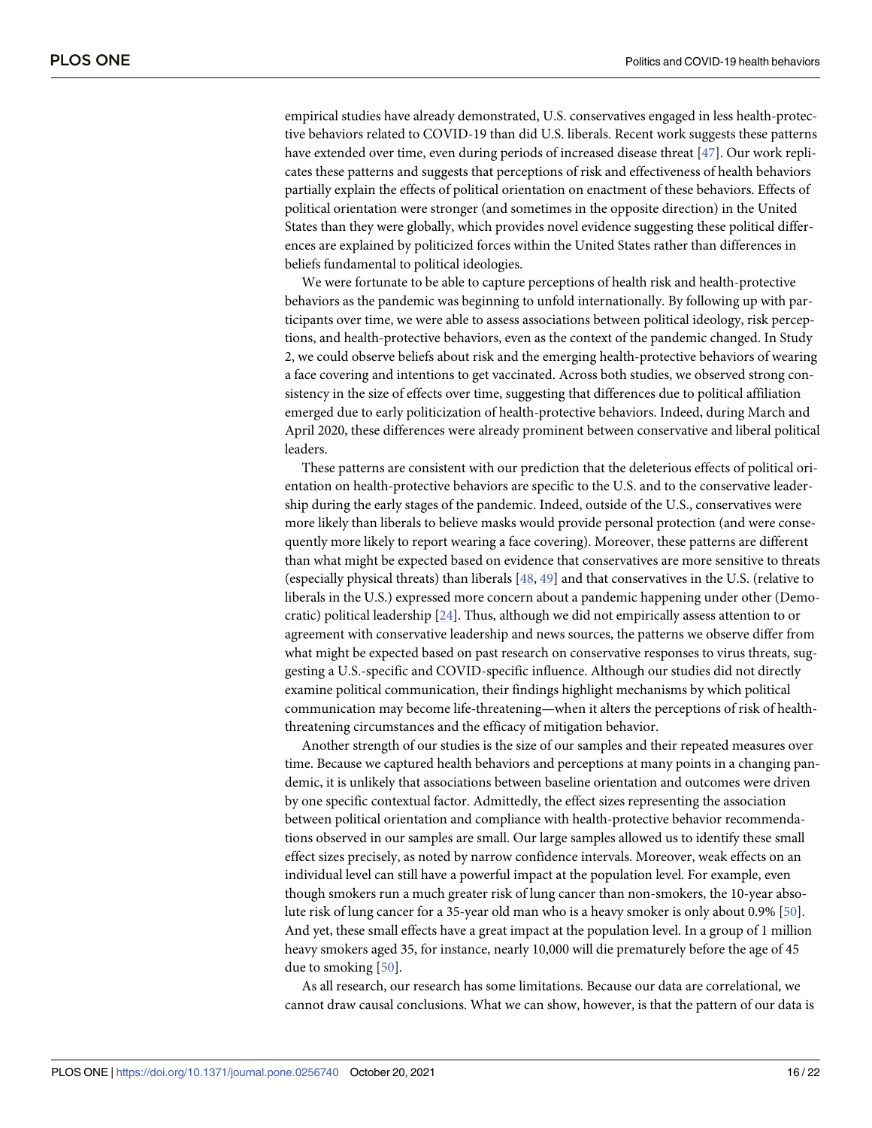<span id="page-15-0"></span>empirical studies have already demonstrated, U.S. conservatives engaged in less health-protective behaviors related to COVID-19 than did U.S. liberals. Recent work suggests these patterns have extended over time, even during periods of increased disease threat [[47](#page-21-0)]. Our work replicates these patterns and suggests that perceptions of risk and effectiveness of health behaviors partially explain the effects of political orientation on enactment of these behaviors. Effects of political orientation were stronger (and sometimes in the opposite direction) in the United States than they were globally, which provides novel evidence suggesting these political differences are explained by politicized forces within the United States rather than differences in beliefs fundamental to political ideologies.

We were fortunate to be able to capture perceptions of health risk and health-protective behaviors as the pandemic was beginning to unfold internationally. By following up with participants over time, we were able to assess associations between political ideology, risk perceptions, and health-protective behaviors, even as the context of the pandemic changed. In Study 2, we could observe beliefs about risk and the emerging health-protective behaviors of wearing a face covering and intentions to get vaccinated. Across both studies, we observed strong consistency in the size of effects over time, suggesting that differences due to political affiliation emerged due to early politicization of health-protective behaviors. Indeed, during March and April 2020, these differences were already prominent between conservative and liberal political leaders.

These patterns are consistent with our prediction that the deleterious effects of political orientation on health-protective behaviors are specific to the U.S. and to the conservative leadership during the early stages of the pandemic. Indeed, outside of the U.S., conservatives were more likely than liberals to believe masks would provide personal protection (and were consequently more likely to report wearing a face covering). Moreover, these patterns are different than what might be expected based on evidence that conservatives are more sensitive to threats (especially physical threats) than liberals [\[48,](#page-21-0) [49\]](#page-21-0) and that conservatives in the U.S. (relative to liberals in the U.S.) expressed more concern about a pandemic happening under other (Democratic) political leadership [[24](#page-20-0)]. Thus, although we did not empirically assess attention to or agreement with conservative leadership and news sources, the patterns we observe differ from what might be expected based on past research on conservative responses to virus threats, suggesting a U.S.-specific and COVID-specific influence. Although our studies did not directly examine political communication, their findings highlight mechanisms by which political communication may become life-threatening—when it alters the perceptions of risk of healththreatening circumstances and the efficacy of mitigation behavior.

Another strength of our studies is the size of our samples and their repeated measures over time. Because we captured health behaviors and perceptions at many points in a changing pandemic, it is unlikely that associations between baseline orientation and outcomes were driven by one specific contextual factor. Admittedly, the effect sizes representing the association between political orientation and compliance with health-protective behavior recommendations observed in our samples are small. Our large samples allowed us to identify these small effect sizes precisely, as noted by narrow confidence intervals. Moreover, weak effects on an individual level can still have a powerful impact at the population level. For example, even though smokers run a much greater risk of lung cancer than non-smokers, the 10-year absolute risk of lung cancer for a 35-year old man who is a heavy smoker is only about 0.9% [\[50\]](#page-21-0). And yet, these small effects have a great impact at the population level. In a group of 1 million heavy smokers aged 35, for instance, nearly 10,000 will die prematurely before the age of 45 due to smoking [\[50\]](#page-21-0).

As all research, our research has some limitations. Because our data are correlational, we cannot draw causal conclusions. What we can show, however, is that the pattern of our data is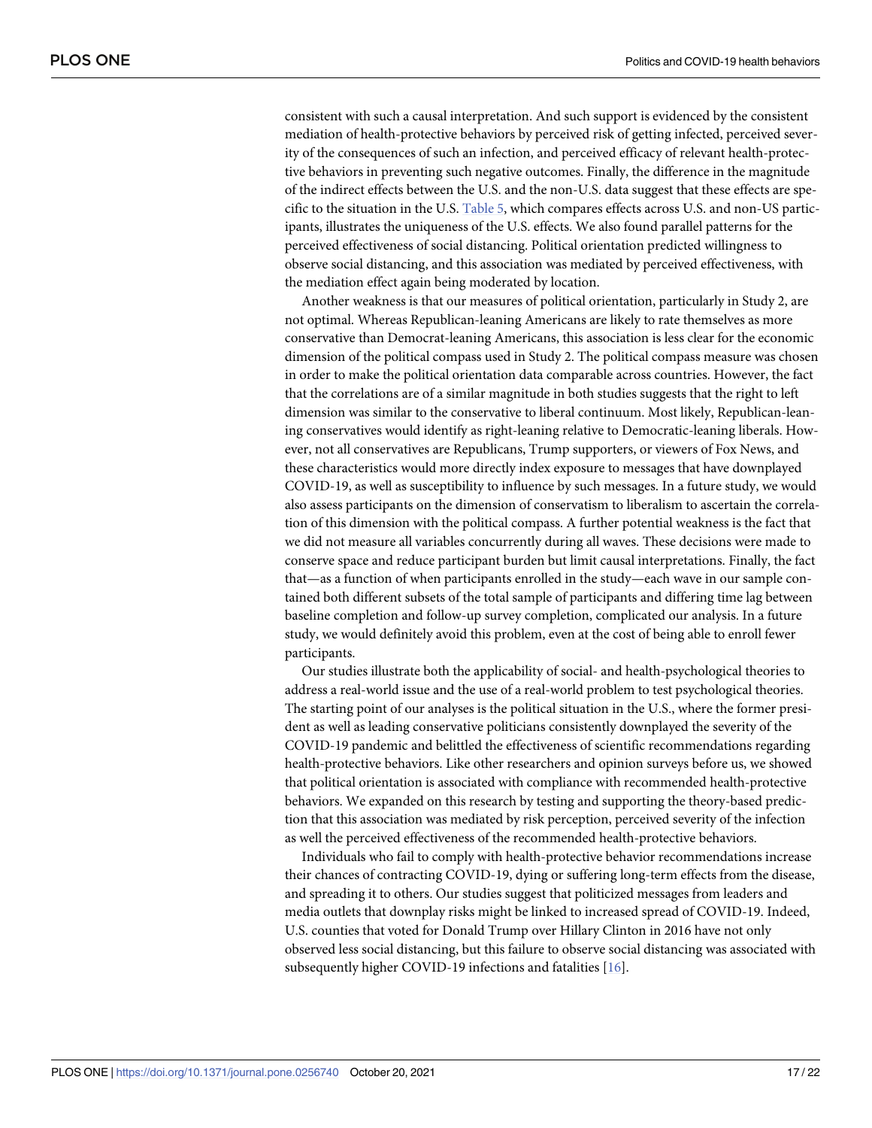consistent with such a causal interpretation. And such support is evidenced by the consistent mediation of health-protective behaviors by perceived risk of getting infected, perceived severity of the consequences of such an infection, and perceived efficacy of relevant health-protective behaviors in preventing such negative outcomes. Finally, the difference in the magnitude of the indirect effects between the U.S. and the non-U.S. data suggest that these effects are specific to the situation in the U.S. [Table](#page-12-0) 5, which compares effects across U.S. and non-US participants, illustrates the uniqueness of the U.S. effects. We also found parallel patterns for the perceived effectiveness of social distancing. Political orientation predicted willingness to observe social distancing, and this association was mediated by perceived effectiveness, with the mediation effect again being moderated by location.

Another weakness is that our measures of political orientation, particularly in Study 2, are not optimal. Whereas Republican-leaning Americans are likely to rate themselves as more conservative than Democrat-leaning Americans, this association is less clear for the economic dimension of the political compass used in Study 2. The political compass measure was chosen in order to make the political orientation data comparable across countries. However, the fact that the correlations are of a similar magnitude in both studies suggests that the right to left dimension was similar to the conservative to liberal continuum. Most likely, Republican-leaning conservatives would identify as right-leaning relative to Democratic-leaning liberals. However, not all conservatives are Republicans, Trump supporters, or viewers of Fox News, and these characteristics would more directly index exposure to messages that have downplayed COVID-19, as well as susceptibility to influence by such messages. In a future study, we would also assess participants on the dimension of conservatism to liberalism to ascertain the correlation of this dimension with the political compass. A further potential weakness is the fact that we did not measure all variables concurrently during all waves. These decisions were made to conserve space and reduce participant burden but limit causal interpretations. Finally, the fact that—as a function of when participants enrolled in the study—each wave in our sample contained both different subsets of the total sample of participants and differing time lag between baseline completion and follow-up survey completion, complicated our analysis. In a future study, we would definitely avoid this problem, even at the cost of being able to enroll fewer participants.

Our studies illustrate both the applicability of social- and health-psychological theories to address a real-world issue and the use of a real-world problem to test psychological theories. The starting point of our analyses is the political situation in the U.S., where the former president as well as leading conservative politicians consistently downplayed the severity of the COVID-19 pandemic and belittled the effectiveness of scientific recommendations regarding health-protective behaviors. Like other researchers and opinion surveys before us, we showed that political orientation is associated with compliance with recommended health-protective behaviors. We expanded on this research by testing and supporting the theory-based prediction that this association was mediated by risk perception, perceived severity of the infection as well the perceived effectiveness of the recommended health-protective behaviors.

Individuals who fail to comply with health-protective behavior recommendations increase their chances of contracting COVID-19, dying or suffering long-term effects from the disease, and spreading it to others. Our studies suggest that politicized messages from leaders and media outlets that downplay risks might be linked to increased spread of COVID-19. Indeed, U.S. counties that voted for Donald Trump over Hillary Clinton in 2016 have not only observed less social distancing, but this failure to observe social distancing was associated with subsequently higher COVID-19 infections and fatalities [[16](#page-19-0)].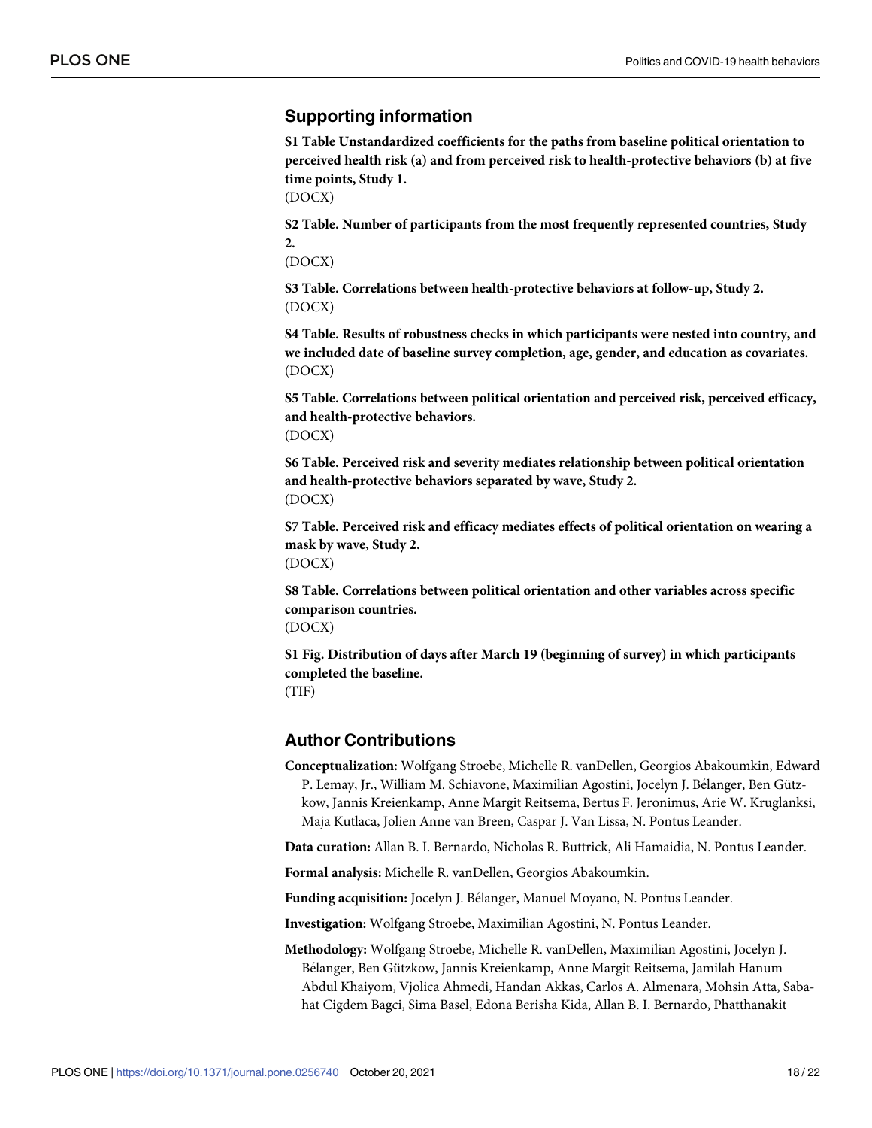## <span id="page-17-0"></span>**Supporting information**

**S1 Table [Unstandardized](http://www.plosone.org/article/fetchSingleRepresentation.action?uri=info:doi/10.1371/journal.pone.0256740.s001) coefficients for the paths from baseline political orientation to perceived health risk (a) and from perceived risk to [health-protective](http://www.plosone.org/article/fetchSingleRepresentation.action?uri=info:doi/10.1371/journal.pone.0256740.s001) behaviors (b) at five time [points,](http://www.plosone.org/article/fetchSingleRepresentation.action?uri=info:doi/10.1371/journal.pone.0256740.s001) Study 1.**

(DOCX)

**S2 [Table.](http://www.plosone.org/article/fetchSingleRepresentation.action?uri=info:doi/10.1371/journal.pone.0256740.s002) Number of participants from the most frequently represented countries, Study 2.**

(DOCX)

**S3 [Table.](http://www.plosone.org/article/fetchSingleRepresentation.action?uri=info:doi/10.1371/journal.pone.0256740.s003) Correlations between health-protective behaviors at follow-up, Study 2.** (DOCX)

**S4 [Table.](http://www.plosone.org/article/fetchSingleRepresentation.action?uri=info:doi/10.1371/journal.pone.0256740.s004) Results of robustness checks in which participants were nested into country, and we included date of baseline survey completion, age, gender, and education as covariates.** (DOCX)

**S5 [Table.](http://www.plosone.org/article/fetchSingleRepresentation.action?uri=info:doi/10.1371/journal.pone.0256740.s005) Correlations between political orientation and perceived risk, perceived efficacy, and health-protective behaviors.** (DOCX)

**S6 [Table.](http://www.plosone.org/article/fetchSingleRepresentation.action?uri=info:doi/10.1371/journal.pone.0256740.s006) Perceived risk and severity mediates relationship between political orientation and health-protective behaviors separated by wave, Study 2.** (DOCX)

**S7 [Table.](http://www.plosone.org/article/fetchSingleRepresentation.action?uri=info:doi/10.1371/journal.pone.0256740.s007) Perceived risk and efficacy mediates effects of political orientation on wearing a mask by wave, Study 2.** (DOCX)

**S8 [Table.](http://www.plosone.org/article/fetchSingleRepresentation.action?uri=info:doi/10.1371/journal.pone.0256740.s008) Correlations between political orientation and other variables across specific comparison countries.** (DOCX)

**S1 [Fig](http://www.plosone.org/article/fetchSingleRepresentation.action?uri=info:doi/10.1371/journal.pone.0256740.s009). Distribution of days after March 19 (beginning of survey) in which participants completed the baseline.** (TIF)

## **Author Contributions**

**Conceptualization:** Wolfgang Stroebe, Michelle R. vanDellen, Georgios Abakoumkin, Edward P. Lemay, Jr., William M. Schiavone, Maximilian Agostini, Jocelyn J. Bélanger, Ben Gützkow, Jannis Kreienkamp, Anne Margit Reitsema, Bertus F. Jeronimus, Arie W. Kruglanksi, Maja Kutlaca, Jolien Anne van Breen, Caspar J. Van Lissa, N. Pontus Leander.

**Data curation:** Allan B. I. Bernardo, Nicholas R. Buttrick, Ali Hamaidia, N. Pontus Leander.

**Formal analysis:** Michelle R. vanDellen, Georgios Abakoumkin.

**Funding acquisition:** Jocelyn J. Bélanger, Manuel Moyano, N. Pontus Leander.

**Investigation:** Wolfgang Stroebe, Maximilian Agostini, N. Pontus Leander.

**Methodology:** Wolfgang Stroebe, Michelle R. vanDellen, Maximilian Agostini, Jocelyn J. Bélanger, Ben Gützkow, Jannis Kreienkamp, Anne Margit Reitsema, Jamilah Hanum Abdul Khaiyom, Vjolica Ahmedi, Handan Akkas, Carlos A. Almenara, Mohsin Atta, Sabahat Cigdem Bagci, Sima Basel, Edona Berisha Kida, Allan B. I. Bernardo, Phatthanakit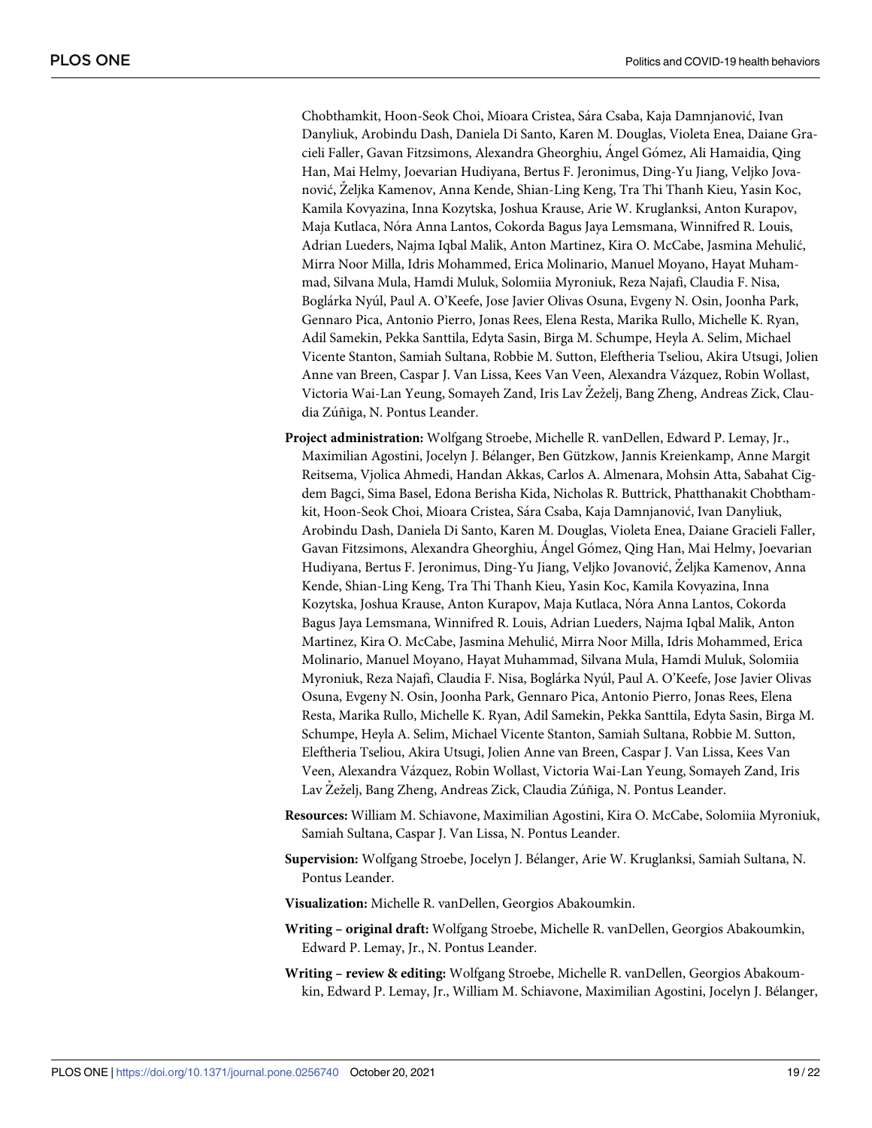Chobthamkit, Hoon-Seok Choi, Mioara Cristea, Sa´ra Csaba, Kaja Damnjanović, Ivan Danyliuk, Arobindu Dash, Daniela Di Santo, Karen M. Douglas, Violeta Enea, Daiane Gracieli Faller, Gavan Fitzsimons, Alexandra Gheorghiu, Angel Gómez, Ali Hamaidia, Qing Han, Mai Helmy, Joevarian Hudiyana, Bertus F. Jeronimus, Ding-Yu Jiang, Veljko Jovanović, Żeljka Kamenov, Anna Kende, Shian-Ling Keng, Tra Thi Thanh Kieu, Yasin Koc, Kamila Kovyazina, Inna Kozytska, Joshua Krause, Arie W. Kruglanksi, Anton Kurapov, Maja Kutlaca, No´ra Anna Lantos, Cokorda Bagus Jaya Lemsmana, Winnifred R. Louis, Adrian Lueders, Najma Iqbal Malik, Anton Martinez, Kira O. McCabe, Jasmina Mehulić, Mirra Noor Milla, Idris Mohammed, Erica Molinario, Manuel Moyano, Hayat Muhammad, Silvana Mula, Hamdi Muluk, Solomiia Myroniuk, Reza Najafi, Claudia F. Nisa, Boglárka Nyúl, Paul A. O'Keefe, Jose Javier Olivas Osuna, Evgeny N. Osin, Joonha Park, Gennaro Pica, Antonio Pierro, Jonas Rees, Elena Resta, Marika Rullo, Michelle K. Ryan, Adil Samekin, Pekka Santtila, Edyta Sasin, Birga M. Schumpe, Heyla A. Selim, Michael Vicente Stanton, Samiah Sultana, Robbie M. Sutton, Eleftheria Tseliou, Akira Utsugi, Jolien Anne van Breen, Caspar J. Van Lissa, Kees Van Veen, Alexandra Vázquez, Robin Wollast, Victoria Wai-Lan Yeung, Somayeh Zand, Iris Lav Zeželj, Bang Zheng, Andreas Zick, Claudia Zúñiga, N. Pontus Leander.

- **Project administration:** Wolfgang Stroebe, Michelle R. vanDellen, Edward P. Lemay, Jr., Maximilian Agostini, Jocelyn J. Bélanger, Ben Gützkow, Jannis Kreienkamp, Anne Margit Reitsema, Vjolica Ahmedi, Handan Akkas, Carlos A. Almenara, Mohsin Atta, Sabahat Cigdem Bagci, Sima Basel, Edona Berisha Kida, Nicholas R. Buttrick, Phatthanakit Chobthamkit, Hoon-Seok Choi, Mioara Cristea, Sa´ra Csaba, Kaja Damnjanović, Ivan Danyliuk, Arobindu Dash, Daniela Di Santo, Karen M. Douglas, Violeta Enea, Daiane Gracieli Faller, Gavan Fitzsimons, Alexandra Gheorghiu, Angel Gómez, Qing Han, Mai Helmy, Joevarian Hudiyana, Bertus F. Jeronimus, Ding-Yu Jiang, Veljko Jovanović, Zˇeljka Kamenov, Anna Kende, Shian-Ling Keng, Tra Thi Thanh Kieu, Yasin Koc, Kamila Kovyazina, Inna Kozytska, Joshua Krause, Anton Kurapov, Maja Kutlaca, No´ra Anna Lantos, Cokorda Bagus Jaya Lemsmana, Winnifred R. Louis, Adrian Lueders, Najma Iqbal Malik, Anton Martinez, Kira O. McCabe, Jasmina Mehulić, Mirra Noor Milla, Idris Mohammed, Erica Molinario, Manuel Moyano, Hayat Muhammad, Silvana Mula, Hamdi Muluk, Solomiia Myroniuk, Reza Najafi, Claudia F. Nisa, Boglárka Nyúl, Paul A. O'Keefe, Jose Javier Olivas Osuna, Evgeny N. Osin, Joonha Park, Gennaro Pica, Antonio Pierro, Jonas Rees, Elena Resta, Marika Rullo, Michelle K. Ryan, Adil Samekin, Pekka Santtila, Edyta Sasin, Birga M. Schumpe, Heyla A. Selim, Michael Vicente Stanton, Samiah Sultana, Robbie M. Sutton, Eleftheria Tseliou, Akira Utsugi, Jolien Anne van Breen, Caspar J. Van Lissa, Kees Van Veen, Alexandra Va´zquez, Robin Wollast, Victoria Wai-Lan Yeung, Somayeh Zand, Iris Lav Žeželj, Bang Zheng, Andreas Zick, Claudia Zúñiga, N. Pontus Leander.
- **Resources:** William M. Schiavone, Maximilian Agostini, Kira O. McCabe, Solomiia Myroniuk, Samiah Sultana, Caspar J. Van Lissa, N. Pontus Leander.
- Supervision: Wolfgang Stroebe, Jocelyn J. Bélanger, Arie W. Kruglanksi, Samiah Sultana, N. Pontus Leander.
- **Visualization:** Michelle R. vanDellen, Georgios Abakoumkin.
- **Writing – original draft:** Wolfgang Stroebe, Michelle R. vanDellen, Georgios Abakoumkin, Edward P. Lemay, Jr., N. Pontus Leander.
- **Writing – review & editing:** Wolfgang Stroebe, Michelle R. vanDellen, Georgios Abakoumkin, Edward P. Lemay, Jr., William M. Schiavone, Maximilian Agostini, Jocelyn J. Bélanger,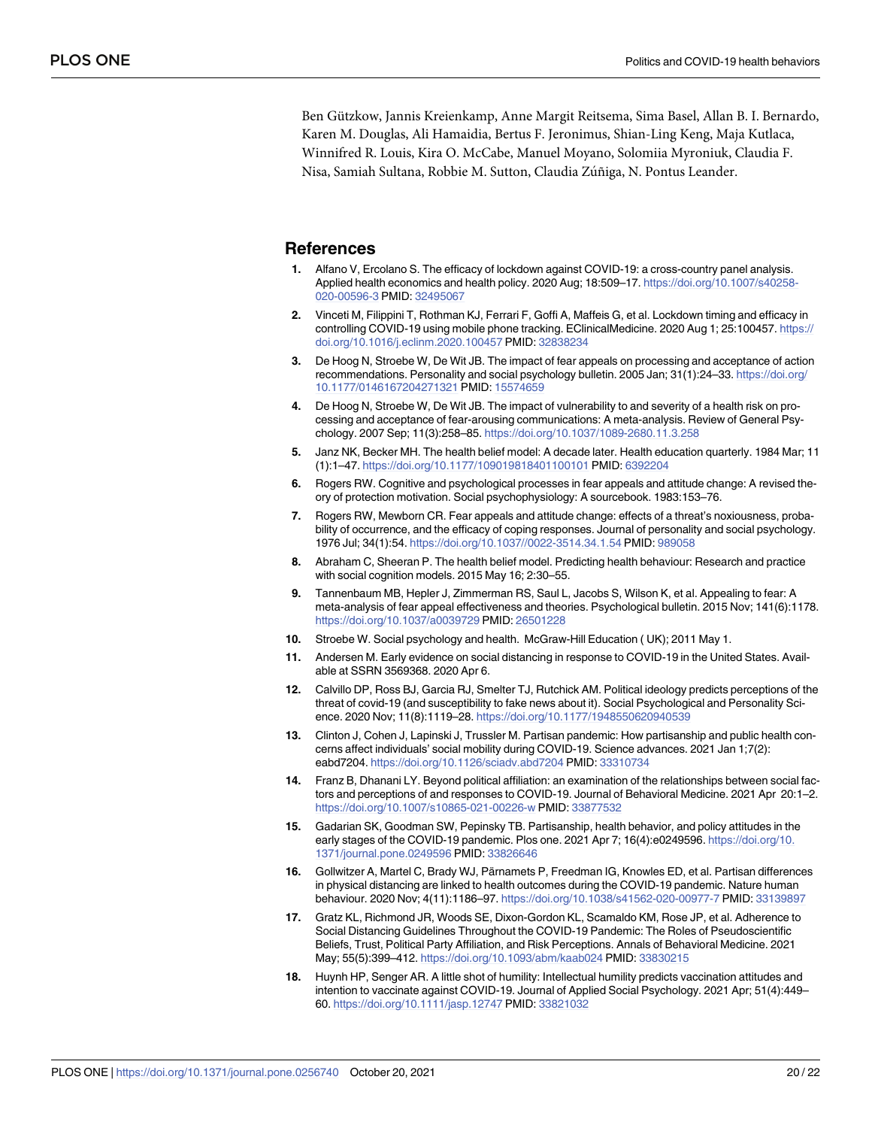<span id="page-19-0"></span>Ben Gützkow, Jannis Kreienkamp, Anne Margit Reitsema, Sima Basel, Allan B. I. Bernardo, Karen M. Douglas, Ali Hamaidia, Bertus F. Jeronimus, Shian-Ling Keng, Maja Kutlaca, Winnifred R. Louis, Kira O. McCabe, Manuel Moyano, Solomiia Myroniuk, Claudia F. Nisa, Samiah Sultana, Robbie M. Sutton, Claudia Zúñiga, N. Pontus Leander.

#### **References**

- **[1](#page-2-0).** Alfano V, Ercolano S. The efficacy of lockdown against COVID-19: a cross-country panel analysis. Applied health economics and health policy. 2020 Aug; 18:509–17. [https://doi.org/10.1007/s40258-](https://doi.org/10.1007/s40258-020-00596-3) [020-00596-3](https://doi.org/10.1007/s40258-020-00596-3) PMID: [32495067](http://www.ncbi.nlm.nih.gov/pubmed/32495067)
- **[2](#page-2-0).** Vinceti M, Filippini T, Rothman KJ, Ferrari F, Goffi A, Maffeis G, et al. Lockdown timing and efficacy in controlling COVID-19 using mobile phone tracking. EClinicalMedicine. 2020 Aug 1; 25:100457. [https://](https://doi.org/10.1016/j.eclinm.2020.100457) [doi.org/10.1016/j.eclinm.2020.100457](https://doi.org/10.1016/j.eclinm.2020.100457) PMID: [32838234](http://www.ncbi.nlm.nih.gov/pubmed/32838234)
- **[3](#page-2-0).** De Hoog N, Stroebe W, De Wit JB. The impact of fear appeals on processing and acceptance of action recommendations. Personality and social psychology bulletin. 2005 Jan; 31(1):24–33. [https://doi.org/](https://doi.org/10.1177/0146167204271321) [10.1177/0146167204271321](https://doi.org/10.1177/0146167204271321) PMID: [15574659](http://www.ncbi.nlm.nih.gov/pubmed/15574659)
- **[4](#page-2-0).** De Hoog N, Stroebe W, De Wit JB. The impact of vulnerability to and severity of a health risk on processing and acceptance of fear-arousing communications: A meta-analysis. Review of General Psychology. 2007 Sep; 11(3):258–85. <https://doi.org/10.1037/1089-2680.11.3.258>
- **[5](#page-2-0).** Janz NK, Becker MH. The health belief model: A decade later. Health education quarterly. 1984 Mar; 11 (1):1–47. <https://doi.org/10.1177/109019818401100101> PMID: [6392204](http://www.ncbi.nlm.nih.gov/pubmed/6392204)
- **[6](#page-14-0).** Rogers RW. Cognitive and psychological processes in fear appeals and attitude change: A revised theory of protection motivation. Social psychophysiology: A sourcebook. 1983:153–76.
- **[7](#page-2-0).** Rogers RW, Mewborn CR. Fear appeals and attitude change: effects of a threat's noxiousness, probability of occurrence, and the efficacy of coping responses. Journal of personality and social psychology. 1976 Jul; 34(1):54. <https://doi.org/10.1037//0022-3514.34.1.54> PMID: [989058](http://www.ncbi.nlm.nih.gov/pubmed/989058)
- **8.** Abraham C, Sheeran P. The health belief model. Predicting health behaviour: Research and practice with social cognition models. 2015 May 16; 2:30–55.
- **[9](#page-2-0).** Tannenbaum MB, Hepler J, Zimmerman RS, Saul L, Jacobs S, Wilson K, et al. Appealing to fear: A meta-analysis of fear appeal effectiveness and theories. Psychological bulletin. 2015 Nov; 141(6):1178. <https://doi.org/10.1037/a0039729> PMID: [26501228](http://www.ncbi.nlm.nih.gov/pubmed/26501228)
- **[10](#page-2-0).** Stroebe W. Social psychology and health. McGraw-Hill Education ( UK); 2011 May 1.
- **[11](#page-2-0).** Andersen M. Early evidence on social distancing in response to COVID-19 in the United States. Available at SSRN 3569368. 2020 Apr 6.
- **[12](#page-6-0).** Calvillo DP, Ross BJ, Garcia RJ, Smelter TJ, Rutchick AM. Political ideology predicts perceptions of the threat of covid-19 (and susceptibility to fake news about it). Social Psychological and Personality Science. 2020 Nov; 11(8):1119–28. <https://doi.org/10.1177/1948550620940539>
- **[13](#page-2-0).** Clinton J, Cohen J, Lapinski J, Trussler M. Partisan pandemic: How partisanship and public health concerns affect individuals' social mobility during COVID-19. Science advances. 2021 Jan 1;7(2): eabd7204. <https://doi.org/10.1126/sciadv.abd7204> PMID: [33310734](http://www.ncbi.nlm.nih.gov/pubmed/33310734)
- **[14](#page-4-0).** Franz B, Dhanani LY. Beyond political affiliation: an examination of the relationships between social factors and perceptions of and responses to COVID-19. Journal of Behavioral Medicine. 2021 Apr 20:1–2. <https://doi.org/10.1007/s10865-021-00226-w> PMID: [33877532](http://www.ncbi.nlm.nih.gov/pubmed/33877532)
- **15.** Gadarian SK, Goodman SW, Pepinsky TB. Partisanship, health behavior, and policy attitudes in the early stages of the COVID-19 pandemic. Plos one. 2021 Apr 7; 16(4):e0249596. [https://doi.org/10.](https://doi.org/10.1371/journal.pone.0249596) [1371/journal.pone.0249596](https://doi.org/10.1371/journal.pone.0249596) PMID: [33826646](http://www.ncbi.nlm.nih.gov/pubmed/33826646)
- **[16](#page-2-0).** Gollwitzer A, Martel C, Brady WJ, Pärnamets P, Freedman IG, Knowles ED, et al. Partisan differences in physical distancing are linked to health outcomes during the COVID-19 pandemic. Nature human behaviour. 2020 Nov; 4(11):1186–97. <https://doi.org/10.1038/s41562-020-00977-7> PMID: [33139897](http://www.ncbi.nlm.nih.gov/pubmed/33139897)
- **17.** Gratz KL, Richmond JR, Woods SE, Dixon-Gordon KL, Scamaldo KM, Rose JP, et al. Adherence to Social Distancing Guidelines Throughout the COVID-19 Pandemic: The Roles of Pseudoscientific Beliefs, Trust, Political Party Affiliation, and Risk Perceptions. Annals of Behavioral Medicine. 2021 May; 55(5):399–412. <https://doi.org/10.1093/abm/kaab024> PMID: [33830215](http://www.ncbi.nlm.nih.gov/pubmed/33830215)
- **18.** Huynh HP, Senger AR. A little shot of humility: Intellectual humility predicts vaccination attitudes and intention to vaccinate against COVID-19. Journal of Applied Social Psychology. 2021 Apr; 51(4):449– 60. <https://doi.org/10.1111/jasp.12747> PMID: [33821032](http://www.ncbi.nlm.nih.gov/pubmed/33821032)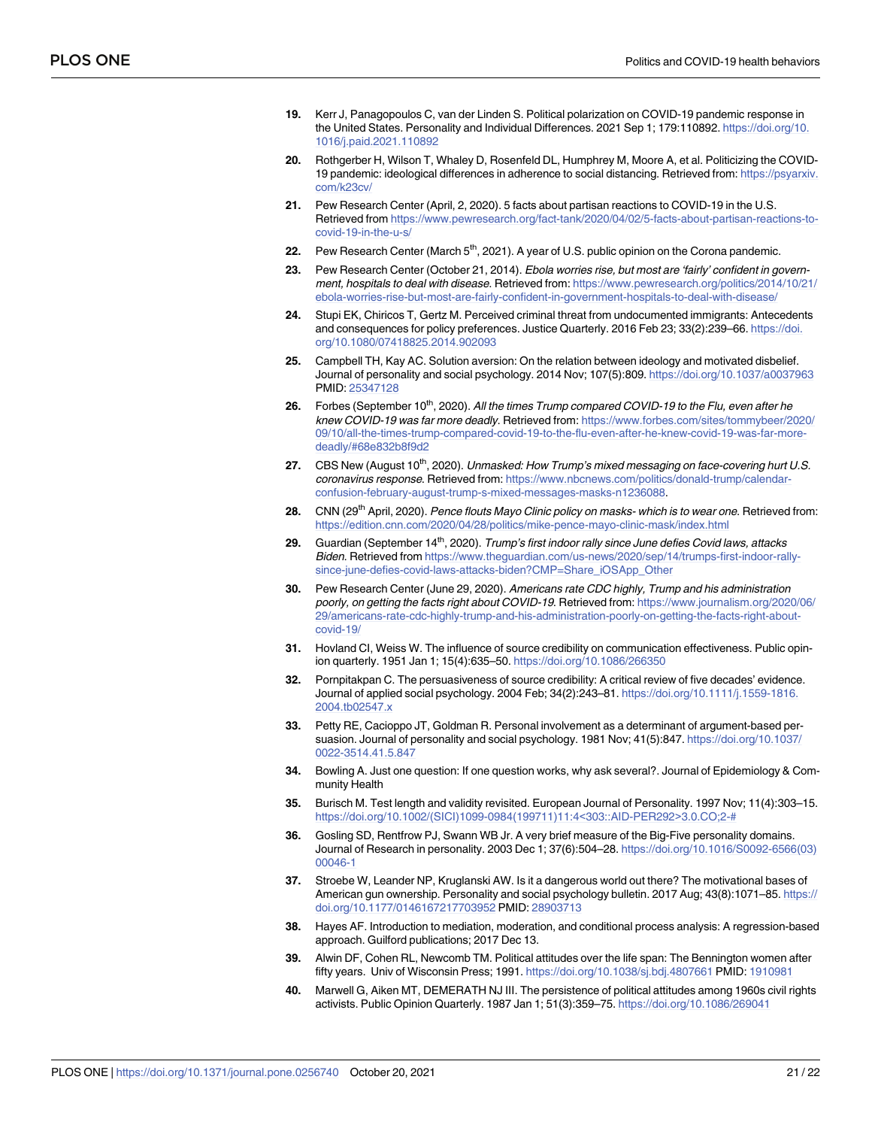- <span id="page-20-0"></span>**[19](#page-3-0).** Kerr J, Panagopoulos C, van der Linden S. Political polarization on COVID-19 pandemic response in the United States. Personality and Individual Differences. 2021 Sep 1; 179:110892. [https://doi.org/10.](https://doi.org/10.1016/j.paid.2021.110892) [1016/j.paid.2021.110892](https://doi.org/10.1016/j.paid.2021.110892)
- **[20](#page-2-0).** Rothgerber H, Wilson T, Whaley D, Rosenfeld DL, Humphrey M, Moore A, et al. Politicizing the COVID-19 pandemic: ideological differences in adherence to social distancing. Retrieved from: [https://psyarxiv.](https://psyarxiv.com/k23cv/) [com/k23cv/](https://psyarxiv.com/k23cv/)
- **[21](#page-2-0).** Pew Research Center (April, 2, 2020). 5 facts about partisan reactions to COVID-19 in the U.S. Retrieved from [https://www.pewresearch.org/fact-tank/2020/04/02/5-facts-about-partisan-reactions-to](https://www.pewresearch.org/fact-tank/2020/04/02/5-facts-about-partisan-reactions-to-covid-19-in-the-u-s/)[covid-19-in-the-u-s/](https://www.pewresearch.org/fact-tank/2020/04/02/5-facts-about-partisan-reactions-to-covid-19-in-the-u-s/)
- [22](#page-2-0). Pew Research Center (March 5<sup>th</sup>, 2021). A year of U.S. public opinion on the Corona pandemic.
- **[23](#page-3-0).** Pew Research Center (October 21, 2014). Ebola worries rise, but most are 'fairly' confident in government, hospitals to deal with disease. Retrieved from: [https://www.pewresearch.org/politics/2014/10/21/](https://www.pewresearch.org/politics/2014/10/21/ebola-worries-rise-but-most-are-fairly-confident-in-government-hospitals-to-deal-with-disease/) [ebola-worries-rise-but-most-are-fairly-confident-in-government-hospitals-to-deal-with-disease/](https://www.pewresearch.org/politics/2014/10/21/ebola-worries-rise-but-most-are-fairly-confident-in-government-hospitals-to-deal-with-disease/)
- **[24](#page-3-0).** Stupi EK, Chiricos T, Gertz M. Perceived criminal threat from undocumented immigrants: Antecedents and consequences for policy preferences. Justice Quarterly. 2016 Feb 23; 33(2):239–66. [https://doi.](https://doi.org/10.1080/07418825.2014.902093) [org/10.1080/07418825.2014.902093](https://doi.org/10.1080/07418825.2014.902093)
- **[25](#page-3-0).** Campbell TH, Kay AC. Solution aversion: On the relation between ideology and motivated disbelief. Journal of personality and social psychology. 2014 Nov; 107(5):809. <https://doi.org/10.1037/a0037963> PMID: [25347128](http://www.ncbi.nlm.nih.gov/pubmed/25347128)
- **[26](#page-3-0).** Forbes (September 10<sup>th</sup>, 2020). All the times Trump compared COVID-19 to the Flu, even after he knew COVID-19 was far more deadly. Retrieved from: [https://www.forbes.com/sites/tommybeer/2020/](https://www.forbes.com/sites/tommybeer/2020/09/10/all-the-times-trump-compared-covid-19-to-the-flu-even-after-he-knew-covid-19-was-far-more-deadly/#68e832b8f9d2) [09/10/all-the-times-trump-compared-covid-19-to-the-flu-even-after-he-knew-covid-19-was-far-more](https://www.forbes.com/sites/tommybeer/2020/09/10/all-the-times-trump-compared-covid-19-to-the-flu-even-after-he-knew-covid-19-was-far-more-deadly/#68e832b8f9d2)[deadly/#68e832b8f9d2](https://www.forbes.com/sites/tommybeer/2020/09/10/all-the-times-trump-compared-covid-19-to-the-flu-even-after-he-knew-covid-19-was-far-more-deadly/#68e832b8f9d2)
- **[27](#page-3-0).** CBS New (August 10<sup>th</sup>, 2020). Unmasked: How Trump's mixed messaging on face-covering hurt U.S. coronavirus response. Retrieved from: [https://www.nbcnews.com/politics/donald-trump/calendar](https://www.nbcnews.com/politics/donald-trump/calendar-confusion-february-august-trump-s-mixed-messages-masks-n1236088)[confusion-february-august-trump-s-mixed-messages-masks-n1236088](https://www.nbcnews.com/politics/donald-trump/calendar-confusion-february-august-trump-s-mixed-messages-masks-n1236088).
- **[28](#page-3-0).** CNN (29th April, 2020). Pence flouts Mayo Clinic policy on masks- which is to wear one. Retrieved from: <https://edition.cnn.com/2020/04/28/politics/mike-pence-mayo-clinic-mask/index.html>
- **[29](#page-3-0).** Guardian (September 14<sup>th</sup>, 2020). Trump's first indoor rally since June defies Covid laws, attacks Biden. Retrieved from [https://www.theguardian.com/us-news/2020/sep/14/trumps-first-indoor-rally](https://www.theguardian.com/us-news/2020/sep/14/trumps-first-indoor-rally-since-june-defies-covid-laws-attacks-biden?CMP=Share_iOSApp_Other)[since-june-defies-covid-laws-attacks-biden?CMP=Share\\_iOSApp\\_Other](https://www.theguardian.com/us-news/2020/sep/14/trumps-first-indoor-rally-since-june-defies-covid-laws-attacks-biden?CMP=Share_iOSApp_Other)
- **[30](#page-3-0).** Pew Research Center (June 29, 2020). Americans rate CDC highly, Trump and his administration poorly, on getting the facts right about COVID-19. Retrieved from: [https://www.journalism.org/2020/06/](https://www.journalism.org/2020/06/29/americans-rate-cdc-highly-trump-and-his-administration-poorly-on-getting-the-facts-right-about-covid-19/) [29/americans-rate-cdc-highly-trump-and-his-administration-poorly-on-getting-the-facts-right-about](https://www.journalism.org/2020/06/29/americans-rate-cdc-highly-trump-and-his-administration-poorly-on-getting-the-facts-right-about-covid-19/)[covid-19/](https://www.journalism.org/2020/06/29/americans-rate-cdc-highly-trump-and-his-administration-poorly-on-getting-the-facts-right-about-covid-19/)
- **[31](#page-3-0).** Hovland CI, Weiss W. The influence of source credibility on communication effectiveness. Public opinion quarterly. 1951 Jan 1; 15(4):635–50. <https://doi.org/10.1086/266350>
- **[32](#page-3-0).** Pornpitakpan C. The persuasiveness of source credibility: A critical review of five decades' evidence. Journal of applied social psychology. 2004 Feb; 34(2):243–81. [https://doi.org/10.1111/j.1559-1816.](https://doi.org/10.1111/j.1559-1816.2004.tb02547.x) [2004.tb02547.x](https://doi.org/10.1111/j.1559-1816.2004.tb02547.x)
- **[33](#page-3-0).** Petty RE, Cacioppo JT, Goldman R. Personal involvement as a determinant of argument-based persuasion. Journal of personality and social psychology. 1981 Nov; 41(5):847. [https://doi.org/10.1037/](https://doi.org/10.1037/0022-3514.41.5.847) [0022-3514.41.5.847](https://doi.org/10.1037/0022-3514.41.5.847)
- **[34](#page-5-0).** Bowling A. Just one question: If one question works, why ask several?. Journal of Epidemiology & Community Health
- **35.** Burisch M. Test length and validity revisited. European Journal of Personality. 1997 Nov; 11(4):303–15. [https://doi.org/10.1002/\(SICI\)1099-0984\(199711\)11:4](https://doi.org/10.1002/%28SICI%291099-0984%28199711%2911%3A4%26lt%3B303%3A%3AAID-PER292%26gt%3B3.0.CO%3B2-%23)<303::AID-PER292>3.0.CO;2-#
- **[36](#page-5-0).** Gosling SD, Rentfrow PJ, Swann WB Jr. A very brief measure of the Big-Five personality domains. Journal of Research in personality. 2003 Dec 1; 37(6):504–28. [https://doi.org/10.1016/S0092-6566\(03\)](https://doi.org/10.1016/S0092-6566%2803%2900046-1) [00046-1](https://doi.org/10.1016/S0092-6566%2803%2900046-1)
- **[37](#page-5-0).** Stroebe W, Leander NP, Kruglanski AW. Is it a dangerous world out there? The motivational bases of American gun ownership. Personality and social psychology bulletin. 2017 Aug; 43(8):1071-85. [https://](https://doi.org/10.1177/0146167217703952) [doi.org/10.1177/0146167217703952](https://doi.org/10.1177/0146167217703952) PMID: [28903713](http://www.ncbi.nlm.nih.gov/pubmed/28903713)
- **[38](#page-6-0).** Hayes AF. Introduction to mediation, moderation, and conditional process analysis: A regression-based approach. Guilford publications; 2017 Dec 13.
- **[39](#page-7-0).** Alwin DF, Cohen RL, Newcomb TM. Political attitudes over the life span: The Bennington women after fifty years. Univ of Wisconsin Press; 1991. <https://doi.org/10.1038/sj.bdj.4807661> PMID: [1910981](http://www.ncbi.nlm.nih.gov/pubmed/1910981)
- **40.** Marwell G, Aiken MT, DEMERATH NJ III. The persistence of political attitudes among 1960s civil rights activists. Public Opinion Quarterly. 1987 Jan 1; 51(3):359–75. <https://doi.org/10.1086/269041>